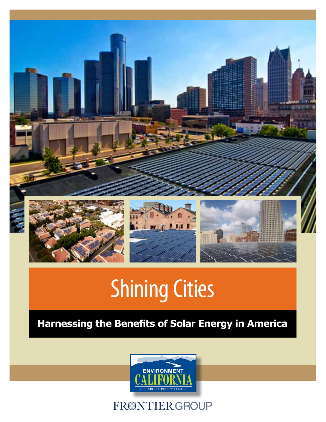

# Shining Cities

## **Harnessing the Benefits of Solar Energy in America**



FRØNTIER GROUP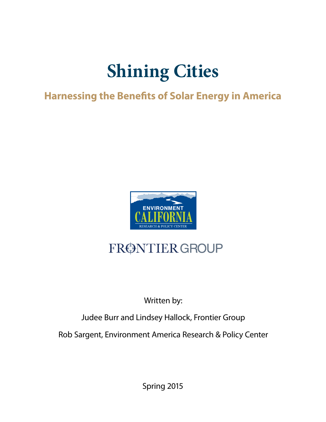## **Shining Cities**

## **Harnessing the Benefits of Solar Energy in America**



## FRØNTIER GROUP

## Written by:

Judee Burr and Lindsey Hallock, Frontier Group

Rob Sargent, Environment America Research & Policy Center

Spring 2015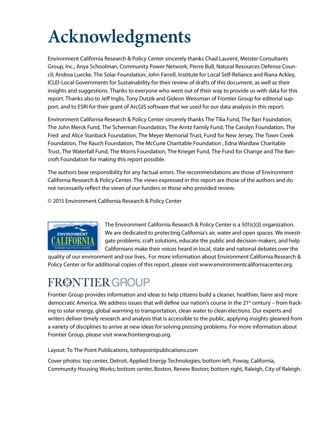# **Acknowledgments**

Environment California Research & Policy Center sincerely thanks Chad Laurent, Meister Consultants Group, Inc.; Anya Schoolman, Community Power Network; Pierre Bull, Natural Resources Defense Council; Andrea Luecke, The Solar Foundation; John Farrell, Institute for Local Self-Reliance and Riana Ackley, ICLEI-Local Governments for Sustainability for their review of drafts of this document, as well as their insights and suggestions. Thanks to everyone who went out of their way to provide us with data for this report. Thanks also to Jeff Inglis, Tony Dutzik and Gideon Weissman of Frontier Group for editorial support, and to ESRI for their grant of ArcGIS software that we used for our data analysis in this report.

Environment California Research & Policy Center sincerely thanks The Tilia Fund, The Barr Foundation, The John Merck Fund, The Scherman Foundation, The Arntz Family Fund, The Carolyn Foundation, The Fred and Alice Stanback Foundation, The Meyer Memorial Trust, Fund for New Jersey, The Town Creek Foundation, The Rauch Foundation, The McCune Charitable Foundation , Edna Wardlaw Charitable Trust, The Waterfall Fund, The Morris Foundation, The Krieger Fund, The Fund for Change and The Bancroft Foundation for making this report possible.

The authors bear responsibility for any factual errors. The recommendations are those of Environment California Research & Policy Center. The views expressed in this report are those of the authors and do not necessarily reflect the views of our funders or those who provided review.

© 2015 Environment California Research & Policy Center



The Environment California Research & Policy Center is a 501(c)(3) organization. We are dedicated to protecting California's air, water and open spaces. We investigate problems, craft solutions, educate the public and decision-makers, and help Californians make their voices heard in local, state and national debates over the

quality of our environment and our lives.. For more information about Environment California Research & Policy Center or for additional copies of this report, please visit www.environmentcaliforniacenter.org.

## FRØNTIER GROUP

Frontier Group provides information and ideas to help citizens build a cleaner, healthier, fairer and more democratic America. We address issues that will define our nation's course in the 21<sup>st</sup> century – from fracking to solar energy, global warming to transportation, clean water to clean elections. Our experts and writers deliver timely research and analysis that is accessible to the public, applying insights gleaned from a variety of disciplines to arrive at new ideas for solving pressing problems. For more information about Frontier Group, please visit www.frontiergroup.org.

Layout: To The Point Publications, tothepointpublications.com

Cover photos: top center, Detroit, Applied Energy Technologies; bottom left, Poway, California, Community Housing Works; bottom center, Boston, Renew Boston; bottom right, Raleigh, City of Raleigh.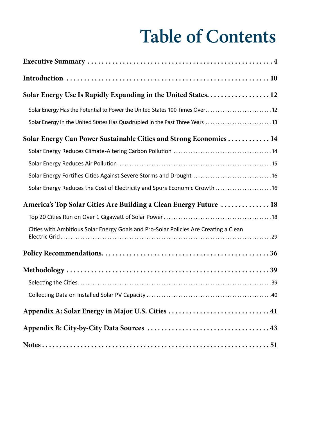# **Table of Contents**

| Solar Energy Use Is Rapidly Expanding in the United States 12                        |
|--------------------------------------------------------------------------------------|
| Solar Energy Has the Potential to Power the United States 100 Times Over 12          |
| Solar Energy in the United States Has Quadrupled in the Past Three Years  13         |
| Solar Energy Can Power Sustainable Cities and Strong Economies 14                    |
|                                                                                      |
|                                                                                      |
| Solar Energy Fortifies Cities Against Severe Storms and Drought  16                  |
| Solar Energy Reduces the Cost of Electricity and Spurs Economic Growth 16            |
| America's Top Solar Cities Are Building a Clean Energy Future  18                    |
|                                                                                      |
| Cities with Ambitious Solar Energy Goals and Pro-Solar Policies Are Creating a Clean |
|                                                                                      |
|                                                                                      |
|                                                                                      |
|                                                                                      |
|                                                                                      |
|                                                                                      |
|                                                                                      |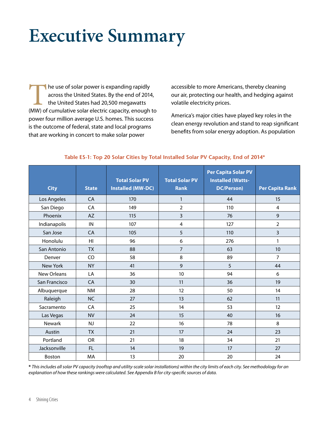## **Executive Summary**

The use of solar power is expanding rapidly<br>across the United States. By the end of 2014<br>the United States had 20,500 megawatts<br>(MW) of cumulative solar electric capacity, enough across the United States. By the end of 2014, the United States had 20,500 megawatts (MW) of cumulative solar electric capacity, enough to power four million average U.S. homes. This success is the outcome of federal, state and local programs that are working in concert to make solar power

accessible to more Americans, thereby cleaning our air, protecting our health, and hedging against volatile electricity prices.

America's major cities have played key roles in the clean energy revolution and stand to reap significant benefits from solar energy adoption. As population

| <b>City</b>   | <b>State</b> | <b>Total Solar PV</b><br><b>Installed (MW-DC)</b> | <b>Total Solar PV</b><br><b>Rank</b> | <b>Per Capita Solar PV</b><br><b>Installed (Watts-</b><br><b>DC/Person)</b> | <b>Per Capita Rank</b> |
|---------------|--------------|---------------------------------------------------|--------------------------------------|-----------------------------------------------------------------------------|------------------------|
| Los Angeles   | CA           | 170                                               | 1                                    | 44                                                                          | 15                     |
| San Diego     | CA           | 149                                               | $\overline{2}$                       | 110                                                                         | 4                      |
| Phoenix       | <b>AZ</b>    | 115                                               | 3                                    | 76                                                                          | 9                      |
| Indianapolis  | IN           | 107                                               | $\overline{4}$                       | 127                                                                         | $\overline{2}$         |
| San Jose      | <b>CA</b>    | 105                                               | 5                                    | 110                                                                         | 3                      |
| Honolulu      | HI.          | 96                                                | 6                                    | 276                                                                         | 1                      |
| San Antonio   | <b>TX</b>    | 88                                                | $\overline{7}$                       | 63                                                                          | 10                     |
| Denver        | CO           | 58                                                | 8                                    | 89                                                                          | $\overline{7}$         |
| New York      | <b>NY</b>    | 41                                                | 9                                    | 5                                                                           | 44                     |
| New Orleans   | LA           | 36                                                | 10                                   | 94                                                                          | 6                      |
| San Francisco | <b>CA</b>    | 30                                                | 11                                   | 36                                                                          | 19                     |
| Albuquerque   | <b>NM</b>    | 28                                                | 12                                   | 50                                                                          | 14                     |
| Raleigh       | <b>NC</b>    | 27                                                | 13                                   | 62                                                                          | 11                     |
| Sacramento    | CA           | 25                                                | 14                                   | 53                                                                          | 12                     |
| Las Vegas     | <b>NV</b>    | 24                                                | 15                                   | 40                                                                          | 16                     |
| <b>Newark</b> | <b>NJ</b>    | 22                                                | 16                                   | 78                                                                          | 8                      |
| Austin        | <b>TX</b>    | 21                                                | 17                                   | 24                                                                          | 23                     |
| Portland      | <b>OR</b>    | 21                                                | 18                                   | 34                                                                          | 21                     |
| Jacksonville  | FL.          | 14                                                | 19                                   | 17                                                                          | 27                     |
| Boston        | MA           | 13                                                | 20                                   | 20                                                                          | 24                     |

#### **Table ES-1: Top 20 Solar Cities by Total Installed Solar PV Capacity, End of 2014\***

**\*** *This includes all solar PV capacity (rooftop and utility-scale solar installations) within the city limits of each city. See methodology for an explanation of how these rankings were calculated. See Appendix B for city-specific sources of data.*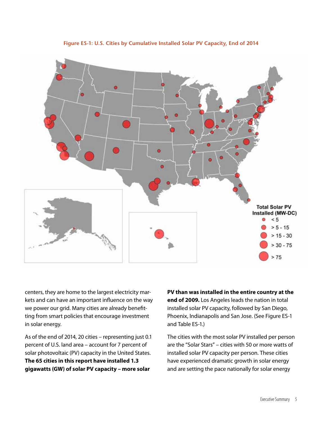

**Figure ES-1: U.S. Cities by Cumulative Installed Solar PV Capacity, End of 2014**

centers, they are home to the largest electricity markets and can have an important influence on the way we power our grid. Many cities are already benefitting from smart policies that encourage investment in solar energy.

As of the end of 2014, 20 cities – representing just 0.1 percent of U.S. land area – account for 7 percent of solar photovoltaic (PV) capacity in the United States. **The 65 cities in this report have installed 1.3 gigawatts (GW) of solar PV capacity – more solar** 

**PV than was installed in the entire country at the end of 2009.** Los Angeles leads the nation in total installed solar PV capacity, followed by San Diego, Phoenix, Indianapolis and San Jose. (See Figure ES-1 and Table ES-1.)

The cities with the most solar PV installed per person are the "Solar Stars" – cities with 50 or more watts of installed solar PV capacity per person. These cities have experienced dramatic growth in solar energy and are setting the pace nationally for solar energy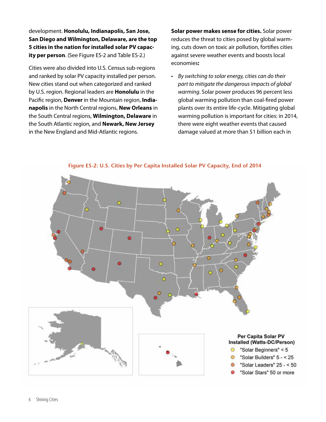development. **Honolulu, Indianapolis, San Jose, San Diego and Wilmington, Delaware, are the top 5 cities in the nation for installed solar PV capacity per person**. (See Figure ES-2 and Table ES-2.)

Cities were also divided into U.S. Census sub-regions and ranked by solar PV capacity installed per person. New cities stand out when categorized and ranked by U.S. region. Regional leaders are **Honolulu** in the Pacific region, **Denver** in the Mountain region, **Indianapolis** in the North Central regions, **New Orleans** in the South Central regions, **Wilmington, Delaware** in the South Atlantic region, and **Newark, New Jersey** in the New England and Mid-Atlantic regions.

**Solar power makes sense for cities.** Solar power reduces the threat to cities posed by global warming, cuts down on toxic air pollution, fortifies cities against severe weather events and boosts local economies**:** 

• *By switching to solar energy, cities can do their part to mitigate the dangerous impacts of global warming*. Solar power produces 96 percent less global warming pollution than coal-fired power plants over its entire life-cycle. Mitigating global warming pollution is important for cities: in 2014, there were eight weather events that caused damage valued at more than \$1 billion each in



**Figure ES-2: U.S. Cities by Per Capita Installed Solar PV Capacity, End of 2014**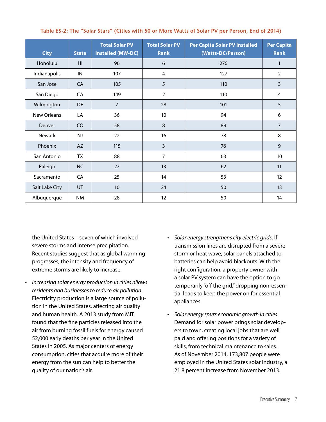| <b>City</b>    | <b>State</b> | <b>Total Solar PV</b><br><b>Installed (MW-DC)</b> | <b>Total Solar PV</b><br><b>Rank</b> | Per Capita Solar PV Installed<br>(Watts-DC/Person) | <b>Per Capita</b><br><b>Rank</b> |
|----------------|--------------|---------------------------------------------------|--------------------------------------|----------------------------------------------------|----------------------------------|
| Honolulu       | HI           | 96                                                | 6                                    | 276                                                | 1                                |
| Indianapolis   | IN           | 107                                               | 4                                    | 127                                                | $\overline{2}$                   |
| San Jose       | CA           | 105                                               | 5                                    | 110                                                | $\overline{3}$                   |
| San Diego      | CA           | 149                                               | $\overline{2}$                       | 110                                                | 4                                |
| Wilmington     | <b>DE</b>    | $\overline{7}$                                    | 28                                   | 101                                                | 5                                |
| New Orleans    | LA           | 36                                                | 10                                   | 94                                                 | 6                                |
| Denver         | CO           | 58                                                | $\,8\,$                              | 89                                                 | $\overline{7}$                   |
| <b>Newark</b>  | NJ           | 22                                                | 16                                   | 78                                                 | 8                                |
| Phoenix        | AZ           | 115                                               | 3                                    | 76                                                 | 9                                |
| San Antonio    | TX           | 88                                                | 7                                    | 63                                                 | 10                               |
| Raleigh        | <b>NC</b>    | 27                                                | 13                                   | 62                                                 | 11                               |
| Sacramento     | CA           | 25                                                | 14                                   | 53                                                 | 12                               |
| Salt Lake City | UT           | 10                                                | 24                                   | 50                                                 | 13                               |
| Albuquerque    | NM           | 28                                                | 12                                   | 50                                                 | 14                               |

**Table ES-2: The "Solar Stars" (Cities with 50 or More Watts of Solar PV per Person, End of 2014)**

the United States – seven of which involved severe storms and intense precipitation. Recent studies suggest that as global warming progresses, the intensity and frequency of extreme storms are likely to increase.

- • *Increasing solar energy production in cities allows residents and businesses to reduce air pollution.* Electricity production is a large source of pollution in the United States, affecting air quality and human health. A 2013 study from MIT found that the fine particles released into the air from burning fossil fuels for energy caused 52,000 early deaths per year in the United States in 2005. As major centers of energy consumption, cities that acquire more of their energy from the sun can help to better the quality of our nation's air.
- • *Solar energy strengthens city electric grids*. If transmission lines are disrupted from a severe storm or heat wave, solar panels attached to batteries can help avoid blackouts. With the right configuration, a property owner with a solar PV system can have the option to go temporarily "off the grid," dropping non-essential loads to keep the power on for essential appliances.
- • *Solar energy spurs economic growth in cities*. Demand for solar power brings solar developers to town, creating local jobs that are well paid and offering positions for a variety of skills, from technical maintenance to sales. As of November 2014, 173,807 people were employed in the United States solar industry, a 21.8 percent increase from November 2013.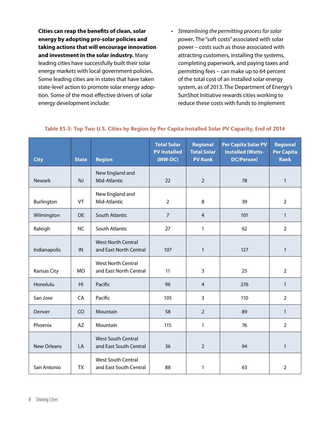**Cities can reap the benefits of clean, solar energy by adopting pro-solar policies and taking actions that will encourage innovation and investment in the solar industry.** Many leading cities have successfully built their solar energy markets with local government policies. Some leading cities are in states that have taken state-level action to promote solar energy adoption. Some of the most effective drivers of solar energy development include:

• *Streamlining the permitting process for solar power***.** The "soft costs" associated with solar power – costs such as those associated with attracting customers, installing the systems, completing paperwork, and paying taxes and permitting fees – can make up to 64 percent of the total cost of an installed solar energy system, as of 2013. The Department of Energy's SunShot Initiative rewards cities working to reduce these costs with funds to implement

| <b>City</b>        | <b>State</b>   | <b>Region</b>                                       | <b>Total Solar</b><br><b>PV Installed</b><br>$(MW-DC)$ | <b>Regional</b><br><b>Total Solar</b><br><b>PV Rank</b> | <b>Per Capita Solar PV</b><br><b>Installed (Watts-</b><br>DC/Person) | <b>Regional</b><br><b>Per Capita</b><br><b>Rank</b> |
|--------------------|----------------|-----------------------------------------------------|--------------------------------------------------------|---------------------------------------------------------|----------------------------------------------------------------------|-----------------------------------------------------|
| <b>Newark</b>      | NJ             | New England and<br>Mid-Atlantic                     | 22                                                     | $\overline{2}$                                          | 78                                                                   | $\mathbf{1}$                                        |
| Burlington         | <b>VT</b>      | New England and<br>Mid-Atlantic                     | $\overline{2}$                                         | 8                                                       | 39                                                                   | $\overline{2}$                                      |
| Wilmington         | <b>DE</b>      | South Atlantic                                      | $\overline{7}$                                         | $\overline{4}$                                          | 101                                                                  | $\mathbf{1}$                                        |
| Raleigh            | <b>NC</b>      | South Atlantic                                      | 27                                                     | $\mathbf{1}$                                            | 62                                                                   | $\overline{2}$                                      |
| Indianapolis       | IN             | <b>West North Central</b><br>and East North Central | 107                                                    | $\mathbf{1}$                                            | 127                                                                  | $\mathbf{1}$                                        |
| Kansas City        | <b>MO</b>      | <b>West North Central</b><br>and East North Central | 11                                                     | 3                                                       | 25                                                                   | $\overline{2}$                                      |
| Honolulu           | H <sub>l</sub> | Pacific                                             | 96                                                     | $\overline{4}$                                          | 276                                                                  | $\mathbf{1}$                                        |
| San Jose           | CA             | Pacific                                             | 105                                                    | 3                                                       | 110                                                                  | $\overline{2}$                                      |
| Denver             | CO             | Mountain                                            | 58                                                     | $\overline{2}$                                          | 89                                                                   | $\mathbf{1}$                                        |
| Phoenix            | AZ             | Mountain                                            | 115                                                    | $\mathbf{1}$                                            | 76                                                                   | $\overline{2}$                                      |
| <b>New Orleans</b> | LA             | <b>West South Central</b><br>and East South Central | 36                                                     | $\overline{2}$                                          | 94                                                                   | $\mathbf{1}$                                        |
| San Antonio        | <b>TX</b>      | <b>West South Central</b><br>and East South Central | 88                                                     | $\mathbf{1}$                                            | 63                                                                   | 2                                                   |

#### **Table ES-3: Top Two U.S. Cities by Region by Per Capita Installed Solar PV Capacity, End of 2014**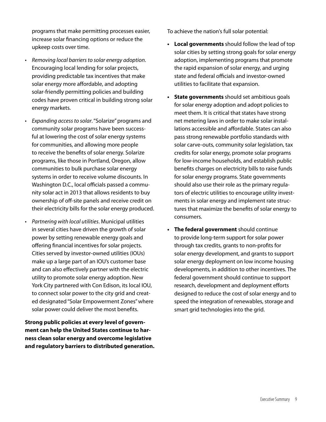programs that make permitting processes easier, increase solar financing options or reduce the upkeep costs over time.

- • *Removing local barriers to solar energy adoption*. Encouraging local lending for solar projects, providing predictable tax incentives that make solar energy more affordable, and adopting solar-friendly permitting policies and building codes have proven critical in building strong solar energy markets.
- • *Expanding access to solar*. "Solarize" programs and community solar programs have been successful at lowering the cost of solar energy systems for communities, and allowing more people to receive the benefits of solar energy. Solarize programs, like those in Portland, Oregon, allow communities to bulk purchase solar energy systems in order to receive volume discounts. In Washington D.C., local officials passed a community solar act in 2013 that allows residents to buy ownership of off-site panels and receive credit on their electricity bills for the solar energy produced.
- • *Partnering with local utilities*. Municipal utilities in several cities have driven the growth of solar power by setting renewable energy goals and offering financial incentives for solar projects. Cities served by investor-owned utilities (IOUs) make up a large part of an IOU's customer base and can also effectively partner with the electric utility to promote solar energy adoption. New York City partnered with Con Edison, its local IOU, to connect solar power to the city grid and created designated "Solar Empowerment Zones" where solar power could deliver the most benefits.

**Strong public policies at every level of government can help the United States continue to harness clean solar energy and overcome legislative and regulatory barriers to distributed generation.** To achieve the nation's full solar potential:

- **• Local governments** should follow the lead of top solar cities by setting strong goals for solar energy adoption, implementing programs that promote the rapid expansion of solar energy, and urging state and federal officials and investor-owned utilities to facilitate that expansion.
- **• State governments** should set ambitious goals for solar energy adoption and adopt policies to meet them. It is critical that states have strong net metering laws in order to make solar installations accessible and affordable. States can also pass strong renewable portfolio standards with solar carve-outs, community solar legislation, tax credits for solar energy, promote solar programs for low-income households, and establish public benefits charges on electricity bills to raise funds for solar energy programs. State governments should also use their role as the primary regulators of electric utilities to encourage utility investments in solar energy and implement rate structures that maximize the benefits of solar energy to consumers.
- **• The federal government** should continue to provide long-term support for solar power through tax credits, grants to non-profits for solar energy development, and grants to support solar energy deployment on low income housing developments, in addition to other incentives. The federal government should continue to support research, development and deployment efforts designed to reduce the cost of solar energy and to speed the integration of renewables, storage and smart grid technologies into the grid.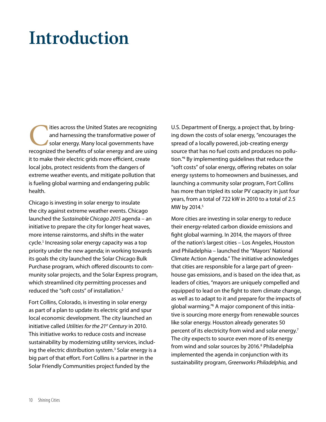## **Introduction**

The United States are recognizing<br>
and harnessing the transformative power of<br>
solar energy. Many local governments have<br>
recognized the benefits of solar energy and are using and harnessing the transformative power of solar energy. Many local governments have it to make their electric grids more efficient, create local jobs, protect residents from the dangers of extreme weather events, and mitigate pollution that is fueling global warming and endangering public health.

Chicago is investing in solar energy to insulate the city against extreme weather events. Chicago launched the *Sustainable Chicago 2015* agenda – an initiative to prepare the city for longer heat waves, more intense rainstorms, and shifts in the water cycle.<sup>1</sup> Increasing solar energy capacity was a top priority under the new agenda; in working towards its goals the city launched the Solar Chicago Bulk Purchase program, which offered discounts to community solar projects, and the Solar Express program, which streamlined city permitting processes and reduced the "soft costs" of installation.<sup>2</sup>

Fort Collins, Colorado, is investing in solar energy as part of a plan to update its electric grid and spur local economic development. The city launched an initiative called *Utilities for the 21st Century* in 2010. This initiative works to reduce costs and increase sustainability by modernizing utility services, including the electric distribution system.<sup>3</sup> Solar energy is a big part of that effort. Fort Collins is a partner in the Solar Friendly Communities project funded by the

U.S. Department of Energy, a project that, by bringing down the costs of solar energy, "encourages the spread of a locally powered, job-creating energy source that has no fuel costs and produces no pollution."<sup>4</sup> By implementing guidelines that reduce the "soft costs" of solar energy, offering rebates on solar energy systems to homeowners and businesses, and launching a community solar program, Fort Collins has more than tripled its solar PV capacity in just four years, from a total of 722 kW in 2010 to a total of 2.5 MW by 2014.<sup>5</sup>

More cities are investing in solar energy to reduce their energy-related carbon dioxide emissions and fight global warming. In 2014, the mayors of three of the nation's largest cities – Los Angeles, Houston and Philadelphia – launched the "Mayors' National Climate Action Agenda." The initiative acknowledges that cities are responsible for a large part of greenhouse gas emissions, and is based on the idea that, as leaders of cities, "mayors are uniquely compelled and equipped to lead on the fight to stem climate change, as well as to adapt to it and prepare for the impacts of global warming."<sup>6</sup> A major component of this initiative is sourcing more energy from renewable sources like solar energy. Houston already generates 50 percent of its electricity from wind and solar energy.<sup>7</sup> The city expects to source even more of its energy from wind and solar sources by 2016.<sup>8</sup> Philadelphia implemented the agenda in conjunction with its sustainability program, *Greenworks Philadelphia,* and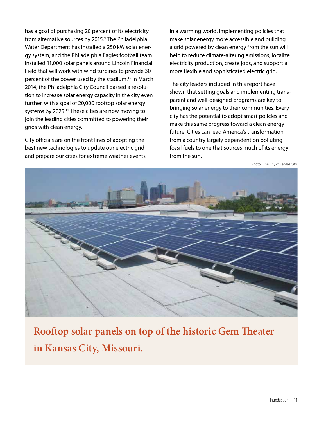has a goal of purchasing 20 percent of its electricity from alternative sources by 2015.<sup>9</sup> The Philadelphia Water Department has installed a 250 kW solar energy system, and the Philadelphia Eagles football team installed 11,000 solar panels around Lincoln Financial Field that will work with wind turbines to provide 30 percent of the power used by the stadium.<sup>10</sup> In March 2014, the Philadelphia City Council passed a resolution to increase solar energy capacity in the city even further, with a goal of 20,000 rooftop solar energy systems by 2025.<sup>11</sup> These cities are now moving to join the leading cities committed to powering their grids with clean energy.

City officials are on the front lines of adopting the best new technologies to update our electric grid and prepare our cities for extreme weather events in a warming world. Implementing policies that make solar energy more accessible and building a grid powered by clean energy from the sun will help to reduce climate-altering emissions, localize electricity production, create jobs, and support a more flexible and sophisticated electric grid.

The city leaders included in this report have shown that setting goals and implementing transparent and well-designed programs are key to bringing solar energy to their communities. Every city has the potential to adopt smart policies and make this same progress toward a clean energy future. Cities can lead America's transformation from a country largely dependent on polluting fossil fuels to one that sources much of its energy from the sun.

Photo: The City of Kansas City



**Rooftop solar panels on top of the historic Gem Theater in Kansas City, Missouri.**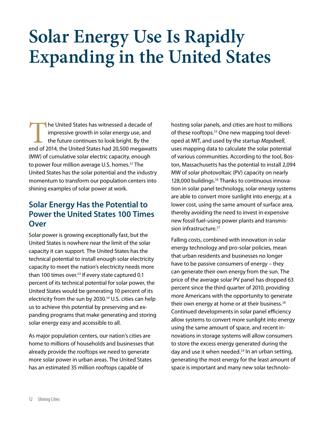## **Solar Energy Use Is Rapidly Expanding in the United States**

The United States has witnessed a decade of impressive growth in solar energy use, and the future continues to look bright. By the end of 2014, the United States had 20,500 megawatts impressive growth in solar energy use, and the future continues to look bright. By the (MW) of cumulative solar electric capacity, enough to power four million average U.S. homes.<sup>12</sup> The United States has the solar potential and the industry momentum to transform our population centers into shining examples of solar power at work.

#### **Solar Energy Has the Potential to Power the United States 100 Times Over**

Solar power is growing exceptionally fast, but the United States is nowhere near the limit of the solar capacity it can support. The United States has the technical potential to install enough solar electricity capacity to meet the nation's electricity needs more than 100 times over. $13$  If every state captured 0.1 percent of its technical potential for solar power, the United States would be generating 10 percent of its electricity from the sun by 2030.<sup>14</sup> U.S. cities can help us to achieve this potential by preserving and expanding programs that make generating and storing solar energy easy and accessible to all.

As major population centers, our nation's cities are home to millions of households and businesses that already provide the rooftops we need to generate more solar power in urban areas. The United States has an estimated 35 million rooftops capable of

hosting solar panels, and cities are host to millions of these rooftops.<sup>15</sup> One new mapping tool developed at MIT, and used by the startup *Mapdwell*, uses mapping data to calculate the solar potential of various communities. According to the tool, Boston, Massachusetts has the potential to install 2,094 MW of solar photovoltaic (PV) capacity on nearly 128,000 buildings.<sup>16</sup> Thanks to continuous innovation in solar panel technology, solar energy systems are able to convert more sunlight into energy, at a lower cost, using the same amount of surface area, thereby avoiding the need to invest in expensive new fossil fuel-using power plants and transmission infrastructure.<sup>17</sup>

Falling costs, combined with innovation in solar energy technology and pro-solar policies, mean that urban residents and businesses no longer have to be passive consumers of energy – they can generate their own energy from the sun. The price of the average solar PV panel has dropped 63 percent since the third quarter of 2010, providing more Americans with the opportunity to generate their own energy at home or at their business.<sup>18</sup> Continued developments in solar panel efficiency allow systems to convert more sunlight into energy using the same amount of space, and recent innovations in storage systems will allow consumers to store the excess energy generated during the day and use it when needed. $19$  In an urban setting, generating the most energy for the least amount of space is important and many new solar technolo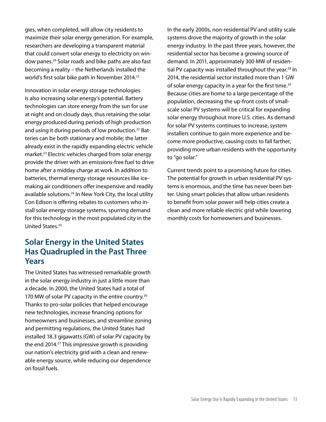gies, when completed, will allow city residents to maximize their solar energy generation. For example, researchers are developing a transparent material that could convert solar energy to electricity on window panes.<sup>20</sup> Solar roads and bike paths are also fast becoming a reality – the Netherlands installed the world's first solar bike path in November 2014.<sup>21</sup>

Innovation in solar energy storage technologies is also increasing solar energy's potential. Battery technologies can store energy from the sun for use at night and on cloudy days, thus retaining the solar energy produced during periods of high production and using it during periods of low production.<sup>22</sup> Batteries can be both stationary and mobile; the latter already exist in the rapidly expanding electric vehicle market.<sup>23</sup> Electric vehicles charged from solar energy provide the driver with an emissions-free fuel to drive home after a midday charge at work. In addition to batteries, thermal energy storage resources like icemaking air conditioners offer inexpensive and readily available solutions.<sup>24</sup> In New York City, the local utility Con Edison is offering rebates to customers who install solar energy storage systems, spurring demand for this technology in the most populated city in the United States.<sup>25</sup>

#### **Solar Energy in the United States Has Quadrupled in the Past Three Years**

The United States has witnessed remarkable growth in the solar energy industry in just a little more than a decade. In 2000, the United States had a total of 170 MW of solar PV capacity in the entire country.<sup>26</sup> Thanks to pro-solar policies that helped encourage new technologies, increase financing options for homeowners and businesses, and streamline zoning and permitting regulations, the United States had installed 18.3 gigawatts (GW) of solar PV capacity by the end 2014.<sup>27</sup> This impressive growth is providing our nation's electricity grid with a clean and renewable energy source, while reducing our dependence on fossil fuels.

In the early 2000s, non-residential PV and utility scale systems drove the majority of growth in the solar energy industry. In the past three years, however, the residential sector has become a growing source of demand. In 2011, approximately 300 MW of residential PV capacity was installed throughout the year.<sup>28</sup> In 2014, the residential sector installed more than 1 GW of solar energy capacity in a year for the first time.<sup>29</sup> Because cities are home to a large percentage of the population, decreasing the up-front costs of smallscale solar PV systems will be critical for expanding solar energy throughout more U.S. cities. As demand for solar PV systems continues to increase, system installers continue to gain more experience and become more productive, causing costs to fall farther, providing more urban residents with the opportunity to "go solar."

Current trends point to a promising future for cities. The potential for growth in urban residential PV systems is enormous, and the time has never been better. Using smart policies that allow urban residents to benefit from solar power will help cities create a clean and more reliable electric grid while lowering monthly costs for homeowners and businesses.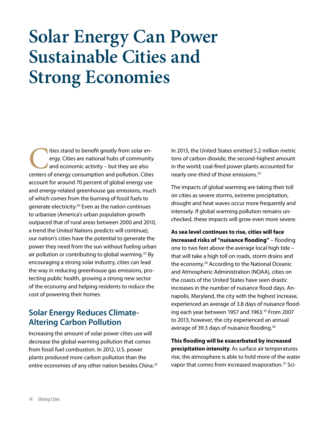## **Solar Energy Can Power Sustainable Cities and Strong Economies**

The ities stand to benefit greatly from solar energy. Cities are national hubs of community and economic activity – but they are also centers of energy consumption and pollution. Cities ergy. Cities are national hubs of community and economic activity – but they are also centers of energy consumption and pollution. Cities account for around 70 percent of global energy use and energy-related greenhouse gas emissions, much of which comes from the burning of fossil fuels to generate electricity.<sup>30</sup> Even as the nation continues to urbanize (America's urban population growth outpaced that of rural areas between 2000 and 2010, a trend the United Nations predicts will continue), our nation's cities have the potential to generate the power they need from the sun without fueling urban air pollution or contributing to global warming.<sup>31</sup> By encouraging a strong solar industry, cities can lead the way in reducing greenhouse gas emissions, protecting public health, growing a strong new sector of the economy and helping residents to reduce the cost of powering their homes.

#### **Solar Energy Reduces Climate-Altering Carbon Pollution**

Increasing the amount of solar power cities use will decrease the global warming pollution that comes from fossil fuel combustion. In 2012, U.S. power plants produced more carbon pollution than the entire economies of any other nation besides China.<sup>32</sup> In 2013, the United States emitted 5.2 million metric tons of carbon dioxide, the second-highest amount in the world; coal-fired power plants accounted for nearly one-third of those emissions.<sup>33</sup>

The impacts of global warming are taking their toll on cities as severe storms, extreme precipitation, drought and heat waves occur more frequently and intensely. If global warming pollution remains unchecked, these impacts will grow even more severe.

**As sea level continues to rise, cities will face increased risks of "nuisance flooding"** – flooding one to two feet above the average local high tide – that will take a high toll on roads, storm drains and the economy.<sup>34</sup> According to the National Oceanic and Atmospheric Administration (NOAA), cities on the coasts of the United States have seen drastic increases in the number of nuisance flood days. Annapolis, Maryland, the city with the highest increase, experienced an average of 3.8 days of nuisance flooding each year between 1957 and 1963.<sup>35</sup> From 2007 to 2013, however, the city experienced an annual average of 39.3 days of nuisance flooding.<sup>36</sup>

**This flooding will be exacerbated by increased precipitation intensity**. As surface air temperatures rise, the atmosphere is able to hold more of the water vapor that comes from increased evaporation.<sup>37</sup> Sci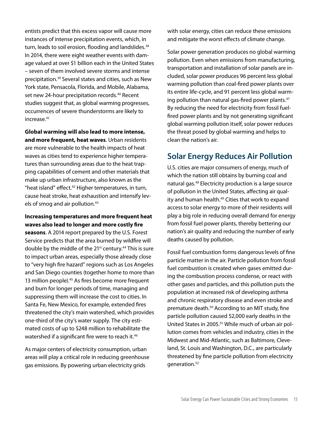entists predict that this excess vapor will cause more instances of intense precipitation events, which, in turn, leads to soil erosion, flooding and landslides.<sup>38</sup> In 2014, there were eight weather events with damage valued at over \$1 billion each in the United States – seven of them involved severe storms and intense precipitation.<sup>39</sup> Several states and cities, such as New York state, Pensacola, Florida, and Mobile, Alabama, set new 24-hour precipitation records.<sup>40</sup> Recent studies suggest that, as global warming progresses, occurrences of severe thunderstorms are likely to increase.<sup>41</sup>

**Global warming will also lead to more intense, and more frequent, heat waves**. Urban residents are more vulnerable to the health impacts of heat waves as cities tend to experience higher temperatures than surrounding areas due to the heat trapping capabilities of cement and other materials that make up urban infrastructure, also known as the "heat island" effect.<sup>42</sup> Higher temperatures, in turn, cause heat stroke, heat exhaustion and intensify levels of smog and air pollution.<sup>43</sup>

#### **Increasing temperatures and more frequent heat waves also lead to longer and more costly fire**

**seasons**. A 2014 report prepared by the U.S. Forest Service predicts that the area burned by wildfire will double by the middle of the 21<sup>st</sup> century.<sup>44</sup> This is sure to impact urban areas, especially those already close to "very high fire hazard" regions such as Los Angeles and San Diego counties (together home to more than 13 million people).<sup>45</sup> As fires become more frequent and burn for longer periods of time, managing and suppressing them will increase the cost to cities. In Santa Fe, New Mexico, for example, extended fires threatened the city's main watershed, which provides one-third of the city's water supply. The city estimated costs of up to \$248 million to rehabilitate the watershed if a significant fire were to reach it.<sup>46</sup>

As major centers of electricity consumption, urban areas will play a critical role in reducing greenhouse gas emissions. By powering urban electricity grids

with solar energy, cities can reduce these emissions and mitigate the worst effects of climate change.

Solar power generation produces no global warming pollution. Even when emissions from manufacturing, transportation and installation of solar panels are included, solar power produces 96 percent less global warming pollution than coal-fired power plants over its entire life-cycle, and 91 percent less global warming pollution than natural gas-fired power plants.<sup>47</sup> By reducing the need for electricity from fossil fuelfired power plants and by not generating significant global warming pollution itself, solar power reduces the threat posed by global warming and helps to clean the nation's air.

### **Solar Energy Reduces Air Pollution**

U.S. cities are major consumers of energy, much of which the nation still obtains by burning coal and natural gas.<sup>48</sup> Electricity production is a large source of pollution in the United States, affecting air quality and human health.<sup>49</sup> Cities that work to expand access to solar energy to more of their residents will play a big role in reducing overall demand for energy from fossil fuel power plants, thereby bettering our nation's air quality and reducing the number of early deaths caused by pollution.

Fossil fuel combustion forms dangerous levels of fine particle matter in the air. Particle pollution from fossil fuel combustion is created when gases emitted during the combustion process condense, or react with other gases and particles, and this pollution puts the population at increased risk of developing asthma and chronic respiratory disease and even stroke and premature death.<sup>50</sup> According to an MIT study, fine particle pollution caused 52,000 early deaths in the United States in 2005.<sup>51</sup> While much of urban air pollution comes from vehicles and industry, cities in the Midwest and Mid-Atlantic, such as Baltimore, Cleveland, St. Louis and Washington, D.C., are particularly threatened by fine particle pollution from electricity generation.<sup>52</sup>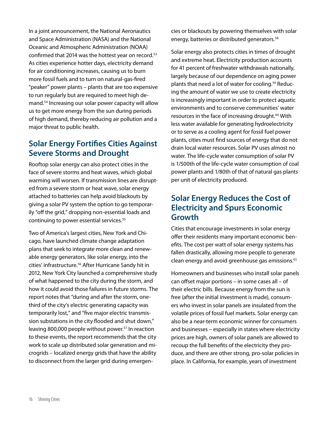In a joint announcement, the National Aeronautics and Space Administration (NASA) and the National Oceanic and Atmospheric Administration (NOAA) confirmed that 2014 was the hottest year on record.<sup>53</sup> As cities experience hotter days, electricity demand for air conditioning increases, causing us to burn more fossil fuels and to turn on natural-gas-fired "peaker" power plants – plants that are too expensive to run regularly but are required to meet high demand.<sup>54</sup> Increasing our solar power capacity will allow us to get more energy from the sun during periods of high demand, thereby reducing air pollution and a major threat to public health.

#### **Solar Energy Fortifies Cities Against Severe Storms and Drought**

Rooftop solar energy can also protect cities in the face of severe storms and heat waves, which global warming will worsen. If transmission lines are disrupted from a severe storm or heat wave, solar energy attached to batteries can help avoid blackouts by giving a solar PV system the option to go temporarily "off the grid," dropping non-essential loads and continuing to power essential services.<sup>55</sup>

Two of America's largest cities, New York and Chicago, have launched climate change adaptation plans that seek to integrate more clean and renewable energy generators, like solar energy, into the cities' infrastructure.<sup>56</sup> After Hurricane Sandy hit in 2012, New York City launched a comprehensive study of what happened to the city during the storm, and how it could avoid those failures in future storms. The report notes that "during and after the storm, onethird of the city's electric generating capacity was temporarily lost," and "five major electric transmission substations in the city flooded and shut down," leaving 800,000 people without power.<sup>57</sup> In reaction to these events, the report recommends that the city work to scale up distributed solar generation and microgrids – localized energy grids that have the ability to disconnect from the larger grid during emergencies or blackouts by powering themselves with solar energy, batteries or distributed generators.<sup>58</sup>

Solar energy also protects cities in times of drought and extreme heat. Electricity production accounts for 41 percent of freshwater withdrawals nationally, largely because of our dependence on aging power plants that need a lot of water for cooling.59 Reducing the amount of water we use to create electricity is increasingly important in order to protect aquatic environments and to conserve communities' water resources in the face of increasing drought.<sup>60</sup> With less water available for generating hydroelectricity or to serve as a cooling agent for fossil fuel power plants, cities must find sources of energy that do not drain local water resources. Solar PV uses almost no water. The life-cycle water consumption of solar PV is 1/500th of the life-cycle water consumption of coal power plants and 1/80th of that of natural gas plants per unit of electricity produced.

#### **Solar Energy Reduces the Cost of Electricity and Spurs Economic Growth**

Cities that encourage investments in solar energy offer their residents many important economic benefits. The cost per watt of solar energy systems has fallen drastically, allowing more people to generate clean energy and avoid greenhouse gas emissions.<sup>61</sup>

Homeowners and businesses who install solar panels can offset major portions – in some cases all – of their electric bills. Because energy from the sun is free (after the initial investment is made), consumers who invest in solar panels are insulated from the volatile prices of fossil fuel markets. Solar energy can also be a near-term economic winner for consumers and businesses – especially in states where electricity prices are high, owners of solar panels are allowed to recoup the full benefits of the electricity they produce, and there are other strong, pro-solar policies in place. In California, for example, years of investment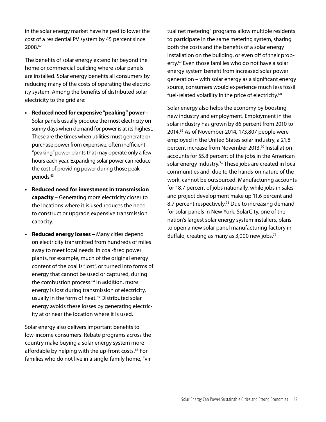in the solar energy market have helped to lower the cost of a residential PV system by 45 percent since 2008.<sup>62</sup>

The benefits of solar energy extend far beyond the home or commercial building where solar panels are installed. Solar energy benefits all consumers by reducing many of the costs of operating the electricity system. Among the benefits of distributed solar electricity to the grid are:

- **• Reduced need for expensive "peaking" power**  Solar panels usually produce the most electricity on sunny days when demand for power is at its highest. These are the times when utilities must generate or purchase power from expensive, often inefficient "peaking" power plants that may operate only a few hours each year. Expanding solar power can reduce the cost of providing power during those peak periods.<sup>63</sup>
- **• Reduced need for investment in transmission capacity –** Generating more electricity closer to the locations where it is used reduces the need to construct or upgrade expensive transmission capacity.
- **• Reduced energy losses –** Many cities depend on electricity transmitted from hundreds of miles away to meet local needs. In coal-fired power plants, for example, much of the original energy content of the coal is "lost", or turned into forms of energy that cannot be used or captured, during the combustion process.<sup>64</sup> In addition, more energy is lost during transmission of electricity, usually in the form of heat.<sup>65</sup> Distributed solar energy avoids these losses by generating electricity at or near the location where it is used.

Solar energy also delivers important benefits to low-income consumers. Rebate programs across the country make buying a solar energy system more affordable by helping with the up-front costs.<sup>66</sup> For families who do not live in a single-family home, "virtual net metering" programs allow multiple residents to participate in the same metering system, sharing both the costs and the benefits of a solar energy installation on the building, or even off of their property.<sup>67</sup> Even those families who do not have a solar energy system benefit from increased solar power generation – with solar energy as a significant energy source, consumers would experience much less fossil fuel-related volatility in the price of electricity.<sup>68</sup>

Solar energy also helps the economy by boosting new industry and employment. Employment in the solar industry has grown by 86 percent from 2010 to 2014.<sup>69</sup> As of November 2014, 173,807 people were employed in the United States solar industry, a 21.8 percent increase from November 2013.<sup>70</sup> Installation accounts for 55.8 percent of the jobs in the American solar energy industry.<sup>71</sup> These jobs are created in local communities and, due to the hands-on nature of the work, cannot be outsourced. Manufacturing accounts for 18.7 percent of jobs nationally, while jobs in sales and project development make up 11.6 percent and 8.7 percent respectively.<sup>72</sup> Due to increasing demand for solar panels in New York, SolarCity, one of the nation's largest solar energy system installers, plans to open a new solar panel manufacturing factory in Buffalo, creating as many as 3,000 new jobs.<sup>73</sup>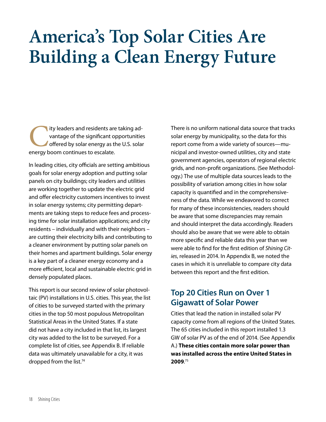## **America's Top Solar Cities Are Building a Clean Energy Future**

ity leaders and residents are taking advantage of the significant opportunitie<br>offered by solar energy as the U.S. solar<br>energy boom continues to escalate. vantage of the significant opportunities offered by solar energy as the U.S. solar energy boom continues to escalate.

In leading cities, city officials are setting ambitious goals for solar energy adoption and putting solar panels on city buildings; city leaders and utilities are working together to update the electric grid and offer electricity customers incentives to invest in solar energy systems; city permitting departments are taking steps to reduce fees and processing time for solar installation applications; and city residents – individually and with their neighbors – are cutting their electricity bills and contributing to a cleaner environment by putting solar panels on their homes and apartment buildings. Solar energy is a key part of a cleaner energy economy and a more efficient, local and sustainable electric grid in densely populated places.

This report is our second review of solar photovoltaic (PV) installations in U.S. cities. This year, the list of cities to be surveyed started with the primary cities in the top 50 most populous Metropolitan Statistical Areas in the United States. If a state did not have a city included in that list, its largest city was added to the list to be surveyed. For a complete list of cities, see Appendix B. If reliable data was ultimately unavailable for a city, it was dropped from the list.<sup>74</sup>

There is no uniform national data source that tracks solar energy by municipality, so the data for this report come from a wide variety of sources—municipal and investor-owned utilities, city and state government agencies, operators of regional electric grids, and non-profit organizations. (See Methodology.) The use of multiple data sources leads to the possibility of variation among cities in how solar capacity is quantified and in the comprehensiveness of the data. While we endeavored to correct for many of these inconsistencies, readers should be aware that some discrepancies may remain and should interpret the data accordingly. Readers should also be aware that we were able to obtain more specific and reliable data this year than we were able to find for the first edition of *Shining Cities*, released in 2014. In Appendix B, we noted the cases in which it is unreliable to compare city data between this report and the first edition.

#### **Top 20 Cities Run on Over 1 Gigawatt of Solar Power**

Cities that lead the nation in installed solar PV capacity come from all regions of the United States. The 65 cities included in this report installed 1.3 GW of solar PV as of the end of 2014. (See Appendix A.) **These cities contain more solar power than was installed across the entire United States in 2009**. 75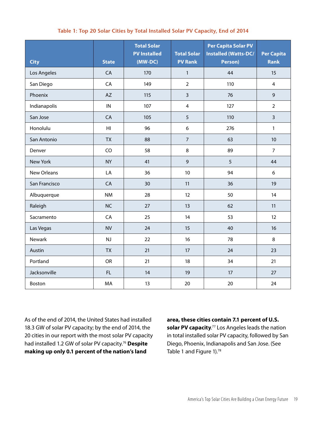#### **Table 1: Top 20 Solar Cities by Total Installed Solar PV Capacity, End of 2014**

| <b>City</b>     | <b>State</b>   | <b>Total Solar</b><br><b>PV Installed</b><br>(MW-DC) | <b>Total Solar</b><br><b>PV Rank</b> | <b>Per Capita Solar PV</b><br><b>Installed (Watts-DC/</b><br>Person) | <b>Per Capita</b><br><b>Rank</b> |
|-----------------|----------------|------------------------------------------------------|--------------------------------------|----------------------------------------------------------------------|----------------------------------|
| Los Angeles     | CA             | 170                                                  | $\mathbf{1}$                         | 44                                                                   | 15                               |
| San Diego       | CA             | 149                                                  | $\overline{2}$                       | 110                                                                  | $\overline{4}$                   |
| Phoenix         | <b>AZ</b>      | 115                                                  | $\overline{3}$                       | 76                                                                   | $\mathsf 9$                      |
| Indianapolis    | ${\sf IN}$     | 107                                                  | $\overline{\mathbf{4}}$              | 127                                                                  | $\overline{2}$                   |
| San Jose        | CA             | 105                                                  | 5                                    | 110                                                                  | $\overline{3}$                   |
| Honolulu        | H <sub>l</sub> | 96                                                   | 6                                    | 276                                                                  | $\mathbf{1}$                     |
| San Antonio     | <b>TX</b>      | 88                                                   | $\overline{7}$                       | 63                                                                   | 10                               |
| Denver          | CO             | 58                                                   | 8                                    | 89                                                                   | $\overline{7}$                   |
| <b>New York</b> | <b>NY</b>      | 41                                                   | $\overline{9}$                       | 5                                                                    | 44                               |
| New Orleans     | LA             | 36                                                   | $10\,$                               | 94                                                                   | 6                                |
| San Francisco   | CA             | 30                                                   | 11                                   | 36                                                                   | 19                               |
| Albuquerque     | <b>NM</b>      | 28                                                   | 12                                   | 50                                                                   | 14                               |
| Raleigh         | <b>NC</b>      | 27                                                   | 13                                   | 62                                                                   | 11                               |
| Sacramento      | CA             | 25                                                   | 14                                   | 53                                                                   | 12                               |
| Las Vegas       | <b>NV</b>      | 24                                                   | 15                                   | 40                                                                   | 16                               |
| Newark          | NJ             | 22                                                   | 16                                   | 78                                                                   | 8                                |
| Austin          | <b>TX</b>      | 21                                                   | 17                                   | 24                                                                   | 23                               |
| Portland        | <b>OR</b>      | 21                                                   | 18                                   | 34                                                                   | 21                               |
| Jacksonville    | FL.            | 14                                                   | 19                                   | 17                                                                   | 27                               |
| Boston          | MA             | 13                                                   | 20                                   | 20                                                                   | 24                               |

As of the end of 2014, the United States had installed 18.3 GW of solar PV capacity; by the end of 2014, the 20 cities in our report with the most solar PV capacity had installed 1.2 GW of solar PV capacity.<sup>76</sup> **Despite making up only 0.1 percent of the nation's land** 

**area, these cities contain 7.1 percent of U.S. solar PV capacity**. <sup>77</sup> Los Angeles leads the nation in total installed solar PV capacity, followed by San Diego, Phoenix, Indianapolis and San Jose. (See Table 1 and Figure 1).<sup>78</sup>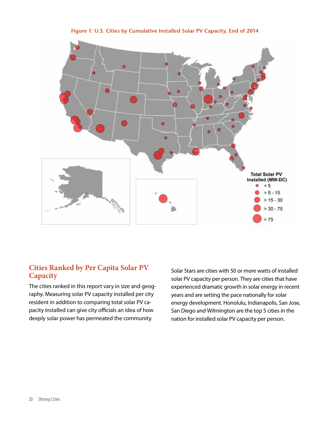

**Figure 1: U.S. Cities by Cumulative Installed Solar PV Capacity, End of 2014**

#### **Cities Ranked by Per Capita Solar PV Capacity**

The cities ranked in this report vary in size and geography. Measuring solar PV capacity installed per city resident in addition to comparing total solar PV capacity installed can give city officials an idea of how deeply solar power has permeated the community.

Solar Stars are cities with 50 or more watts of installed solar PV capacity per person. They are cities that have experienced dramatic growth in solar energy in recent years and are setting the pace nationally for solar energy development. Honolulu, Indianapolis, San Jose, San Diego and Wilmington are the top 5 cities in the nation for installed solar PV capacity per person.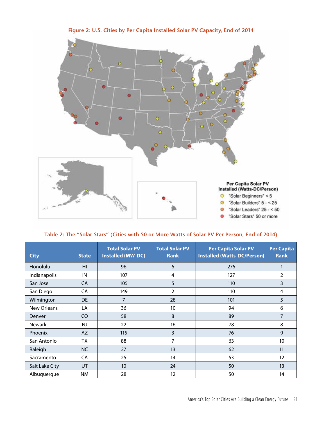

| Table 2: The "Solar Stars" (Cities with 50 or More Watts of Solar PV Per Person, End of 2014) |  |
|-----------------------------------------------------------------------------------------------|--|
|                                                                                               |  |

| <b>City</b>    | <b>State</b>    | <b>Total Solar PV</b><br><b>Installed (MW-DC)</b> | <b>Total Solar PV</b><br><b>Rank</b> | <b>Per Capita Solar PV</b><br><b>Installed (Watts-DC/Person)</b> | <b>Per Capita</b><br><b>Rank</b> |
|----------------|-----------------|---------------------------------------------------|--------------------------------------|------------------------------------------------------------------|----------------------------------|
| Honolulu       | H <sub>II</sub> | 96                                                | 6                                    | 276                                                              | 1                                |
| Indianapolis   | IN              | 107                                               | 4                                    | 127                                                              | $\overline{2}$                   |
| San Jose       | <b>CA</b>       | 105                                               | 5                                    | 110                                                              | 3                                |
| San Diego      | CA              | 149                                               | $\overline{2}$                       | 110                                                              | 4                                |
| Wilmington     | DE              | $\overline{7}$                                    | 28                                   | 101                                                              | 5                                |
| New Orleans    | LA              | 36                                                | 10                                   | 94                                                               | 6                                |
| <b>Denver</b>  | C <sub>O</sub>  | 58                                                | 8                                    | 89                                                               | $\overline{7}$                   |
| <b>Newark</b>  | <b>NJ</b>       | 22                                                | 16                                   | 78                                                               | 8                                |
| Phoenix        | AZ              | 115                                               | $\overline{3}$                       | 76                                                               | 9                                |
| San Antonio    | TX              | 88                                                | 7                                    | 63                                                               | 10                               |
| Raleigh        | <b>NC</b>       | 27                                                | 13                                   | 62                                                               | 11                               |
| Sacramento     | <b>CA</b>       | 25                                                | 14                                   | 53                                                               | 12                               |
| Salt Lake City | <b>UT</b>       | 10                                                | 24                                   | 50                                                               | 13                               |
| Albuquerque    | <b>NM</b>       | 28                                                | 12                                   | 50                                                               | 14                               |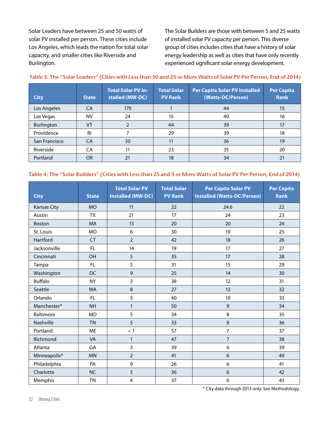Solar Leaders have between 25 and 50 watts of solar PV installed per person. These cities include Los Angeles, which leads the nation for total solar capacity, and smaller cities like Riverside and Burlington.

The Solar Builders are those with between 5 and 25 watts of installed solar PV capacity per person. This diverse group of cities includes cities that have a history of solar energy leadership as well as cities that have only recently experienced significant solar energy development.

| <b>City</b>   | <b>State</b> | <b>Total Solar PV In-</b><br>stalled (MW-DC) | <b>Total Solar</b><br><b>Per Capita Solar PV Installed</b><br>(Watts-DC/Person)<br><b>PV Rank</b> |    | Per Capita<br><b>Rank</b> |
|---------------|--------------|----------------------------------------------|---------------------------------------------------------------------------------------------------|----|---------------------------|
| Los Angeles   | CA           | 170                                          |                                                                                                   | 44 | 15                        |
| Las Vegas     | <b>NV</b>    | 24                                           | 15                                                                                                | 40 | 16                        |
| Burlington    | VT           |                                              | 44                                                                                                | 39 | 17                        |
| Providence    | <b>RI</b>    |                                              | 29                                                                                                | 39 | 18                        |
| San Francisco | <b>CA</b>    | 30                                           | 11                                                                                                | 36 | 19                        |
| Riverside     | CA           | 11                                           | 23                                                                                                | 35 | 20                        |
| Portland      | <b>OR</b>    | 21                                           | 18                                                                                                | 34 | 21                        |

#### **Table 3: The "Solar Leaders" (Cities with Less than 50 and 25 or More Watts of Solar PV Per Person, End of 2014)**

#### **Table 4: The "Solar Builders" (Cities with Less than 25 and 5 or More Watts of Solar PV Per Person, End of 2014)**

| <b>City</b>        | <b>State</b> | <b>Total Solar PV</b><br><b>Installed (MW-DC)</b> | <b>Total Solar</b><br><b>PV Rank</b> | <b>Per Capita Solar PV</b><br><b>Installed (Watts-DC/Person)</b> | <b>Per Capita</b><br><b>Rank</b> |
|--------------------|--------------|---------------------------------------------------|--------------------------------------|------------------------------------------------------------------|----------------------------------|
| <b>Kansas City</b> | <b>MO</b>    | 11                                                | 22                                   | 24.6                                                             | 22                               |
| Austin             | <b>TX</b>    | 21                                                | 17                                   | 24                                                               | 23                               |
| <b>Boston</b>      | <b>MA</b>    | 13                                                | 20                                   | 20                                                               | 24                               |
| St. Louis          | <b>MO</b>    | 6                                                 | 30                                   | 19                                                               | 25                               |
| Hartford           | <b>CT</b>    | $\overline{2}$                                    | 42                                   | 18                                                               | 26                               |
| Jacksonville       | FL           | 14                                                | 19                                   | 17                                                               | 27                               |
| Cincinnati         | OH           | 5                                                 | 35                                   | 17                                                               | 28                               |
| Tampa              | FL           | 5                                                 | 31                                   | 15                                                               | 29                               |
| Washington         | <b>DC</b>    | $\mathbf{9}$                                      | 25                                   | 14                                                               | 30                               |
| <b>Buffalo</b>     | <b>NY</b>    | 3                                                 | 38                                   | 12                                                               | 31                               |
| Seattle            | <b>WA</b>    | 8                                                 | 27                                   | 12                                                               | 32                               |
| Orlando            | FL           | 3                                                 | 40                                   | 10                                                               | 33                               |
| Manchester*        | <b>NH</b>    | $\mathbf{1}$                                      | 50                                   | $\overline{9}$                                                   | 34                               |
| Baltimore          | <b>MD</b>    | 5                                                 | 34                                   | 8                                                                | 35                               |
| Nashville          | <b>TN</b>    | 5                                                 | 33                                   | 8                                                                | 36                               |
| Portland           | ME           | < 1                                               | 57                                   | $\overline{7}$                                                   | 37                               |
| Richmond           | VA           | 1                                                 | 47                                   | $\overline{7}$                                                   | 38                               |
| Atlanta            | GA           | 3                                                 | 39                                   | 6                                                                | 39                               |
| Minneapolis*       | <b>MN</b>    | $\overline{2}$                                    | 41                                   | 6                                                                | 40                               |
| Philadelphia       | PA           | 9                                                 | 26                                   | 6                                                                | 41                               |
| Charlotte          | <b>NC</b>    | 5                                                 | 36                                   | 6                                                                | 42                               |
| Memphis            | <b>TN</b>    | $\overline{4}$                                    | 37                                   | 6                                                                | 43                               |

\* City data through 2013 only. See Methodology.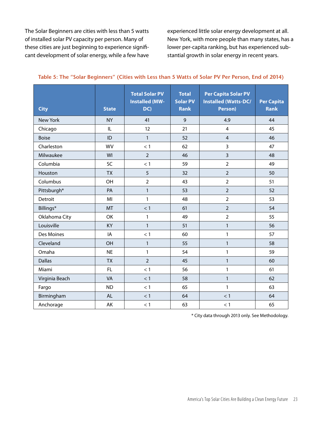The Solar Beginners are cities with less than 5 watts of installed solar PV capacity per person. Many of these cities are just beginning to experience significant development of solar energy, while a few have experienced little solar energy development at all. New York, with more people than many states, has a lower per-capita ranking, but has experienced substantial growth in solar energy in recent years.

| <b>City</b>     | <b>State</b> | <b>Total Solar PV</b><br><b>Installed (MW-</b><br>DC) | <b>Total</b><br><b>Solar PV</b><br><b>Rank</b> | <b>Per Capita Solar PV</b><br><b>Installed (Watts-DC/</b><br>Person) | <b>Per Capita</b><br><b>Rank</b> |
|-----------------|--------------|-------------------------------------------------------|------------------------------------------------|----------------------------------------------------------------------|----------------------------------|
| <b>New York</b> | <b>NY</b>    | 41                                                    | 9                                              | 4.9                                                                  | 44                               |
| Chicago         | IL           | 12                                                    | 21                                             | $\overline{4}$                                                       | 45                               |
| <b>Boise</b>    | ID           | $\mathbf{1}$                                          | 52                                             | $\overline{4}$                                                       | 46                               |
| Charleston      | <b>WV</b>    | < 1                                                   | 62                                             | 3                                                                    | 47                               |
| Milwaukee       | WI           | $\overline{2}$                                        | 46                                             | 3                                                                    | 48                               |
| Columbia        | SC           | < 1                                                   | 59                                             | $\overline{2}$                                                       | 49                               |
| Houston         | <b>TX</b>    | 5                                                     | 32                                             | $\overline{2}$                                                       | 50                               |
| Columbus        | OH           | $\overline{2}$                                        | 43                                             | $\overline{2}$                                                       | 51                               |
| Pittsburgh*     | PA           | $\mathbf{1}$                                          | 53                                             | $\overline{2}$                                                       | 52                               |
| Detroit         | MI           | 1                                                     | 48                                             | $\overline{2}$                                                       | 53                               |
| Billings*       | MT           | < 1                                                   | 61                                             | $\overline{2}$                                                       | 54                               |
| Oklahoma City   | OK           | 1                                                     | 49                                             | $\overline{2}$                                                       | 55                               |
| Louisville      | KY           | 1                                                     | 51                                             | 1                                                                    | 56                               |
| Des Moines      | IA           | < 1                                                   | 60                                             | $\mathbf{1}$                                                         | 57                               |
| Cleveland       | OH           | $\mathbf{1}$                                          | 55                                             | $\mathbf{1}$                                                         | 58                               |
| Omaha           | <b>NE</b>    | $\mathbf{1}$                                          | 54                                             | $\mathbf{1}$                                                         | 59                               |
| <b>Dallas</b>   | <b>TX</b>    | $\overline{2}$                                        | 45                                             | $\mathbf{1}$                                                         | 60                               |
| Miami           | FL           | < 1                                                   | 56                                             | $\mathbf{1}$                                                         | 61                               |
| Virginia Beach  | <b>VA</b>    | < 1                                                   | 58                                             | $\mathbf{1}$                                                         | 62                               |
| Fargo           | <b>ND</b>    | < 1                                                   | 65                                             | 1                                                                    | 63                               |
| Birmingham      | <b>AL</b>    | < 1                                                   | 64                                             | < 1                                                                  | 64                               |
| Anchorage       | AK           | < 1                                                   | 63                                             | < 1                                                                  | 65                               |

#### **Table 5: The "Solar Beginners" (Cities with Less than 5 Watts of Solar PV Per Person, End of 2014)**

\* City data through 2013 only. See Methodology.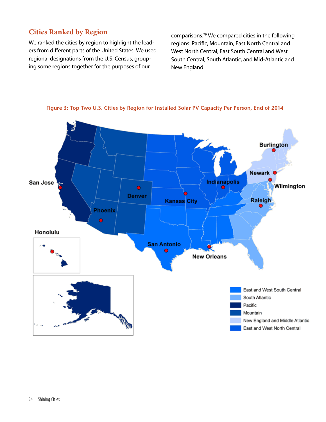#### **Cities Ranked by Region**

We ranked the cities by region to highlight the leaders from different parts of the United States. We used regional designations from the U.S. Census, grouping some regions together for the purposes of our

comparisons.<sup>79</sup> We compared cities in the following regions: Pacific, Mountain, East North Central and West North Central, East South Central and West South Central, South Atlantic, and Mid-Atlantic and New England.



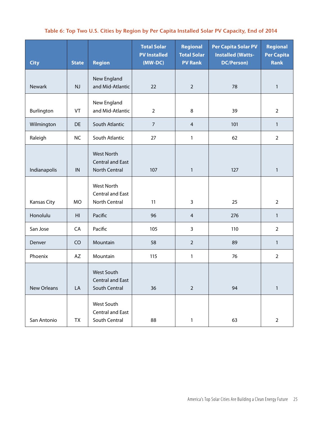#### **Table 6: Top Two U.S. Cities by Region by Per Capita Installed Solar PV Capacity, End of 2014**

| <b>City</b>  | <b>State</b> | <b>Region</b>                                                        | <b>Total Solar</b><br><b>PV Installed</b><br>(MW-DC) | Regional<br><b>Total Solar</b><br><b>PV Rank</b> | <b>Per Capita Solar PV</b><br><b>Installed (Watts-</b><br><b>DC/Person)</b> | Regional<br><b>Per Capita</b><br><b>Rank</b> |
|--------------|--------------|----------------------------------------------------------------------|------------------------------------------------------|--------------------------------------------------|-----------------------------------------------------------------------------|----------------------------------------------|
| Newark       | NJ           | New England<br>and Mid-Atlantic                                      | 22                                                   | $\overline{2}$                                   | 78                                                                          | $\mathbf{1}$                                 |
| Burlington   | VT           | New England<br>and Mid-Atlantic                                      | $\overline{2}$                                       | 8                                                | 39                                                                          | $\overline{2}$                               |
| Wilmington   | DE           | South Atlantic                                                       | $\overline{7}$                                       | $\overline{4}$                                   | 101                                                                         | $\mathbf{1}$                                 |
| Raleigh      | <b>NC</b>    | South Atlantic                                                       | 27                                                   | 1                                                | 62                                                                          | $\overline{2}$                               |
| Indianapolis | IN           | <b>West North</b><br><b>Central and East</b><br><b>North Central</b> | 107                                                  | $\mathbf{1}$                                     | 127                                                                         | $\mathbf{1}$                                 |
| Kansas City  | <b>MO</b>    | <b>West North</b><br><b>Central and East</b><br>North Central        | 11                                                   | 3                                                | 25                                                                          | $\overline{2}$                               |
| Honolulu     | HI           | Pacific                                                              | 96                                                   | $\overline{4}$                                   | 276                                                                         | $\mathbf{1}$                                 |
| San Jose     | CA           | Pacific                                                              | 105                                                  | 3                                                | 110                                                                         | $\overline{2}$                               |
| Denver       | CO           | Mountain                                                             | 58                                                   | $\overline{2}$                                   | 89                                                                          | $\mathbf{1}$                                 |
| Phoenix      | AZ           | Mountain                                                             | 115                                                  | $\mathbf{1}$                                     | 76                                                                          | $\overline{2}$                               |
| New Orleans  | LA           | West South<br><b>Central and East</b><br>South Central               | 36                                                   | $\overline{2}$                                   | 94                                                                          | $\mathbf{1}$                                 |
| San Antonio  | TX           | West South<br><b>Central and East</b><br>South Central               | 88                                                   | $\mathbf{1}$                                     | 63                                                                          | $\overline{2}$                               |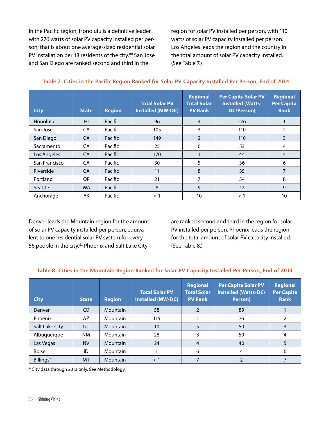In the Pacific region, Honolulu is a definitive leader, with 276 watts of solar PV capacity installed per person; that is about one average-sized residential solar PV installation per 18 residents of the city.<sup>80</sup> San Jose and San Diego are ranked second and third in the

region for solar PV installed per person, with 110 watts of solar PV capacity installed per person. Los Angeles leads the region and the country in the total amount of solar PV capacity installed. (See Table 7.)

| <b>City</b>    | <b>State</b>   | <b>Region</b> | <b>Total Solar PV</b><br><b>Installed (MW-DC)</b> | <b>Regional</b><br><b>Total Solar</b><br><b>PV Rank</b> | <b>Per Capita Solar PV</b><br><b>Installed (Watts-</b><br><b>DC/Person)</b> | <b>Regional</b><br><b>Per Capita</b><br><b>Rank</b> |
|----------------|----------------|---------------|---------------------------------------------------|---------------------------------------------------------|-----------------------------------------------------------------------------|-----------------------------------------------------|
| Honolulu       | H <sub>l</sub> | Pacific       | 96                                                | $\overline{4}$                                          | 276                                                                         |                                                     |
| San Jose       | CA             | Pacific       | 105                                               | 3                                                       | 110                                                                         | $\overline{2}$                                      |
| San Diego      | <b>CA</b>      | Pacific       | 149                                               | 2                                                       | 110                                                                         | 3                                                   |
| Sacramento     | <b>CA</b>      | Pacific       | 25                                                | 6                                                       | 53                                                                          | 4                                                   |
| Los Angeles    | <b>CA</b>      | Pacific       | 170                                               |                                                         | 44                                                                          | 5                                                   |
| San Francisco  | <b>CA</b>      | Pacific       | 30                                                | 5                                                       | 36                                                                          | 6                                                   |
| Riverside      | <b>CA</b>      | Pacific       | 11                                                | 8                                                       | 35                                                                          | 7                                                   |
| Portland       | OR.            | Pacific       | 21                                                | 7                                                       | 34                                                                          | 8                                                   |
| <b>Seattle</b> | <b>WA</b>      | Pacific       | 8                                                 | 9                                                       | 12                                                                          | 9                                                   |
| Anchorage      | AK             | Pacific       | $<$ 1                                             | 10                                                      | $<$ 1                                                                       | 10                                                  |

**Table 7: Cities in the Pacific Region Ranked for Solar PV Capacity Installed Per Person, End of 2014**

Denver leads the Mountain region for the amount of solar PV capacity installed per person, equivalent to one residential solar PV system for every 56 people in the city.<sup>81</sup> Phoenix and Salt Lake City

are ranked second and third in the region for solar PV installed per person. Phoenix leads the region for the total amount of solar PV capacity installed. (See Table 8.)

#### **Table 8: Cities in the Mountain Region Ranked for Solar PV Capacity Installed Per Person, End of 2014**

| <b>City</b>    | <b>State</b> | <b>Region</b> | <b>Total Solar PV</b><br><b>Installed (MW-DC)</b> | Regional<br><b>Total Solar</b><br><b>PV Rank</b> | <b>Per Capita Solar PV</b><br><b>Installed (Watts-DC/</b><br>Person) | <b>Regional</b><br>Per Capita<br><b>Rank</b> |
|----------------|--------------|---------------|---------------------------------------------------|--------------------------------------------------|----------------------------------------------------------------------|----------------------------------------------|
| Denver         | CO           | Mountain      | 58                                                | $\overline{2}$                                   | 89                                                                   |                                              |
| Phoenix        | AZ           | Mountain      | 115                                               |                                                  | 76                                                                   |                                              |
| Salt Lake City | UT           | Mountain      | 10                                                | 5                                                | 50                                                                   | 3                                            |
| Albuquerque    | <b>NM</b>    | Mountain      | 28                                                | 3                                                | 50                                                                   | 4                                            |
| Las Vegas      | <b>NV</b>    | Mountain      | 24                                                | 4                                                | 40                                                                   |                                              |
| <b>Boise</b>   | ID           | Mountain      |                                                   | 6                                                | 4                                                                    | 6                                            |
| Billings*      | MT           | Mountain      | $\lt'$                                            |                                                  |                                                                      |                                              |

\* City data through 2013 only. See Methodology.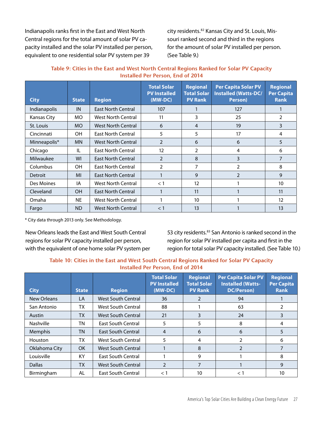Indianapolis ranks first in the East and West North Central regions for the total amount of solar PV capacity installed and the solar PV installed per person, equivalent to one residential solar PV system per 39

city residents.<sup>82</sup> Kansas City and St. Louis, Missouri ranked second and third in the regions for the amount of solar PV installed per person. (See Table 9.)

| Table 9: Cities in the East and West North Central Regions Ranked for Solar PV Capacity |
|-----------------------------------------------------------------------------------------|
| Installed Per Person, End of 2014                                                       |

| <b>City</b>  | <b>State</b> | <b>Region</b>             | <b>Total Solar</b><br><b>PV Installed</b><br>$(MW-DC)$ | <b>Regional</b><br><b>Total Solar</b><br><b>PV Rank</b> | <b>Per Capita Solar PV</b><br>Installed (Watts-DC/<br>Person) | <b>Regional</b><br>Per Capita<br><b>Rank</b> |
|--------------|--------------|---------------------------|--------------------------------------------------------|---------------------------------------------------------|---------------------------------------------------------------|----------------------------------------------|
| Indianapolis | IN           | <b>East North Central</b> | 107                                                    |                                                         | 127                                                           |                                              |
| Kansas City  | MO.          | West North Central        | 11                                                     | 3                                                       | 25                                                            | 2                                            |
| St. Louis    | MO.          | <b>West North Central</b> | 6                                                      | $\overline{4}$                                          | 19                                                            | 3                                            |
| Cincinnati   | <b>OH</b>    | <b>East North Central</b> | 5                                                      | 5                                                       | 17                                                            | 4                                            |
| Minneapolis* | <b>MN</b>    | <b>West North Central</b> | $\overline{2}$                                         | 6                                                       | 6                                                             | 5                                            |
| Chicago      | IL           | <b>East North Central</b> | 12                                                     | 2                                                       | 4                                                             | 6                                            |
| Milwaukee    | WI           | <b>East North Central</b> | $\overline{2}$                                         | 8                                                       | 3                                                             | $\overline{7}$                               |
| Columbus     | <b>OH</b>    | <b>East North Central</b> | 2                                                      | 7                                                       | 2                                                             | 8                                            |
| Detroit      | MI           | <b>East North Central</b> |                                                        | 9                                                       | 2                                                             | 9                                            |
| Des Moines   | IA           | <b>West North Central</b> | $<$ 1                                                  | 12                                                      |                                                               | 10                                           |
| Cleveland    | <b>OH</b>    | <b>East North Central</b> | 1                                                      | 11                                                      |                                                               | 11                                           |
| Omaha        | <b>NE</b>    | <b>West North Central</b> |                                                        | 10 <sup>°</sup>                                         |                                                               | 12                                           |
| Fargo        | <b>ND</b>    | <b>West North Central</b> | $<$ 1                                                  | 13                                                      |                                                               | 13                                           |

\* City data through 2013 only. See Methodology.

New Orleans leads the East and West South Central regions for solar PV capacity installed per person, with the equivalent of one home solar PV system per 53 city residents.<sup>83</sup> San Antonio is ranked second in the region for solar PV installed per capita and first in the region for total solar PV capacity installed. (See Table 10.)

#### **Table 10: Cities in the East and West South Central Regions Ranked for Solar PV Capacity Installed Per Person, End of 2014**

| <b>City</b>    | <b>State</b> | <b>Region</b>             | <b>Total Solar</b><br><b>PV</b> Installed<br>(MW-DC) | <b>Regional</b><br><b>Total Solar</b><br><b>PV Rank</b> | <b>Per Capita Solar PV</b><br><b>Installed (Watts-</b><br><b>DC/Person)</b> | <b>Regional</b><br><b>Per Capita</b><br><b>Rank</b> |
|----------------|--------------|---------------------------|------------------------------------------------------|---------------------------------------------------------|-----------------------------------------------------------------------------|-----------------------------------------------------|
| New Orleans    | LA           | <b>West South Central</b> | 36                                                   |                                                         | 94                                                                          |                                                     |
| San Antonio    | ТX           | West South Central        | 88                                                   |                                                         | 63                                                                          | 2                                                   |
| Austin         | <b>TX</b>    | <b>West South Central</b> | 21                                                   | 3                                                       | 24                                                                          | 3                                                   |
| Nashville      | ΤN           | <b>East South Central</b> | 5                                                    | 5                                                       | 8                                                                           | 4                                                   |
| <b>Memphis</b> | <b>TN</b>    | East South Central        | 4                                                    | 6                                                       | 6                                                                           | 5                                                   |
| <b>Houston</b> | TX           | West South Central        | 5                                                    | 4                                                       | $\mathcal{P}$                                                               | 6                                                   |
| Oklahoma City  | OK.          | <b>West South Central</b> |                                                      | 8                                                       | $\mathfrak{p}$                                                              | 7                                                   |
| Louisville     | KY           | <b>East South Central</b> |                                                      | 9                                                       |                                                                             | 8                                                   |
| <b>Dallas</b>  | <b>TX</b>    | <b>West South Central</b> | $\mathfrak{D}$                                       | 7                                                       |                                                                             | 9                                                   |
| Birmingham     | AL           | <b>East South Central</b> | $\lt 1$                                              | 10                                                      | < 1                                                                         | 10                                                  |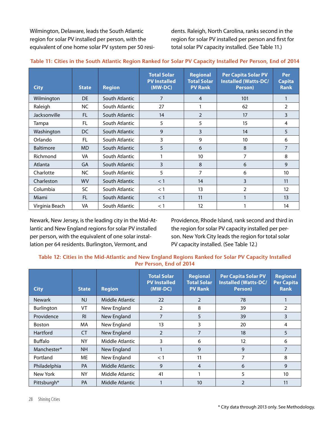Wilmington, Delaware, leads the South Atlantic region for solar PV installed per person, with the equivalent of one home solar PV system per 50 residents. Raleigh, North Carolina, ranks second in the region for solar PV installed per person and first for total solar PV capacity installed. (See Table 11.)

| <b>City</b>      | <b>State</b> | <b>Region</b>  | <b>Total Solar</b><br><b>PV Installed</b><br>$(MW-DC)$ | <b>Regional</b><br><b>Total Solar</b><br><b>PV Rank</b> | <b>Per Capita Solar PV</b><br>Installed (Watts-DC/<br>Person) | Per<br><b>Capita</b><br><b>Rank</b> |
|------------------|--------------|----------------|--------------------------------------------------------|---------------------------------------------------------|---------------------------------------------------------------|-------------------------------------|
| Wilmington       | <b>DE</b>    | South Atlantic | 7                                                      | 4                                                       | 101                                                           |                                     |
| Raleigh          | <b>NC</b>    | South Atlantic | 27                                                     |                                                         | 62                                                            | $\overline{2}$                      |
| Jacksonville     | FL.          | South Atlantic | 14                                                     | $\overline{2}$                                          | 17                                                            | 3                                   |
| Tampa            | <b>FL</b>    | South Atlantic | 5                                                      | 5                                                       | 15                                                            | 4                                   |
| Washington       | DC           | South Atlantic | 9                                                      | 3                                                       | 14                                                            | 5                                   |
| Orlando          | FL           | South Atlantic | 3                                                      | 9                                                       | 10                                                            | 6                                   |
| <b>Baltimore</b> | <b>MD</b>    | South Atlantic | 5                                                      | 6                                                       | 8                                                             | $\overline{7}$                      |
| Richmond         | <b>VA</b>    | South Atlantic | 1                                                      | 10                                                      | 7                                                             | 8                                   |
| Atlanta          | GA           | South Atlantic | 3                                                      | 8                                                       | 6                                                             | 9                                   |
| Charlotte        | NC.          | South Atlantic | 5                                                      | 7                                                       | 6                                                             | 10                                  |
| Charleston       | <b>WV</b>    | South Atlantic | $<$ 1                                                  | 14                                                      | 3                                                             | 11                                  |
| Columbia         | SC           | South Atlantic | < 1                                                    | 13                                                      | $\overline{2}$                                                | 12                                  |
| Miami            | <b>FL</b>    | South Atlantic | $<$ 1                                                  | 11                                                      |                                                               | 13                                  |
| Virginia Beach   | VA           | South Atlantic | $<$ 1                                                  | 12                                                      |                                                               | 14                                  |

#### **Table 11: Cities in the South Atlantic Region Ranked for Solar PV Capacity Installed Per Person, End of 2014**

Newark, New Jersey, is the leading city in the Mid-Atlantic and New England regions for solar PV installed per person, with the equivalent of one solar installation per 64 residents. Burlington, Vermont, and

Providence, Rhode Island, rank second and third in the region for solar PV capacity installed per person. New York City leads the region for total solar PV capacity installed. (See Table 12.)

#### **Table 12: Cities in the Mid-Atlantic and New England Regions Ranked for Solar PV Capacity Installed Per Person, End of 2014**

| <b>City</b>    | <b>State</b>   | <b>Region</b>   | <b>Total Solar</b><br><b>PV Installed</b><br>$(MW-DC)$ | <b>Regional</b><br><b>Total Solar</b><br><b>PV Rank</b> | <b>Per Capita Solar PV</b><br><b>Installed (Watts-DC/</b><br>Person) | <b>Regional</b><br><b>Per Capita</b><br><b>Rank</b> |
|----------------|----------------|-----------------|--------------------------------------------------------|---------------------------------------------------------|----------------------------------------------------------------------|-----------------------------------------------------|
| <b>Newark</b>  | <b>NJ</b>      | Middle Atlantic | 22                                                     | $\overline{2}$                                          | 78                                                                   |                                                     |
| Burlington     | <b>VT</b>      | New England     | 2                                                      | 8                                                       | 39                                                                   | $\overline{2}$                                      |
| Providence     | R <sub>l</sub> | New England     | $\overline{7}$                                         | 5                                                       | 39                                                                   | 3                                                   |
| <b>Boston</b>  | MA.            | New England     | 13                                                     | 3                                                       | 20                                                                   | 4                                                   |
| Hartford       | <b>CT</b>      | New England     | $\overline{2}$                                         | 7                                                       | 18                                                                   | 5                                                   |
| <b>Buffalo</b> | <b>NY</b>      | Middle Atlantic | 3                                                      | 6                                                       | 12                                                                   | 6                                                   |
| Manchester*    | NH             | New England     |                                                        | 9                                                       | 9                                                                    | 7                                                   |
| Portland       | МE             | New England     | < 1                                                    | 11                                                      | 7                                                                    | 8                                                   |
| Philadelphia   | <b>PA</b>      | Middle Atlantic | 9                                                      | $\overline{4}$                                          | 6                                                                    | 9                                                   |
| New York       | <b>NY</b>      | Middle Atlantic | 41                                                     |                                                         | 5                                                                    | 10                                                  |
| Pittsburgh*    | <b>PA</b>      | Middle Atlantic |                                                        | 10                                                      | $\mathfrak{D}$                                                       | 11                                                  |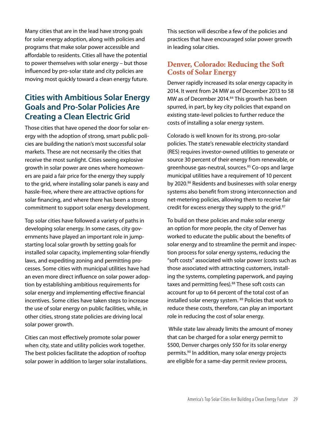Many cities that are in the lead have strong goals for solar energy adoption, along with policies and programs that make solar power accessible and affordable to residents. Cities all have the potential to power themselves with solar energy – but those influenced by pro-solar state and city policies are moving most quickly toward a clean energy future.

#### **Cities with Ambitious Solar Energy Goals and Pro-Solar Policies Are Creating a Clean Electric Grid**

Those cities that have opened the door for solar energy with the adoption of strong, smart public policies are building the nation's most successful solar markets. These are not necessarily the cities that receive the most sunlight. Cities seeing explosive growth in solar power are ones where homeowners are paid a fair price for the energy they supply to the grid, where installing solar panels is easy and hassle-free, where there are attractive options for solar financing, and where there has been a strong commitment to support solar energy development.

Top solar cities have followed a variety of paths in developing solar energy. In some cases, city governments have played an important role in jumpstarting local solar growth by setting goals for installed solar capacity, implementing solar-friendly laws, and expediting zoning and permitting processes. Some cities with municipal utilities have had an even more direct influence on solar power adoption by establishing ambitious requirements for solar energy and implementing effective financial incentives. Some cities have taken steps to increase the use of solar energy on public facilities, while, in other cities, strong state policies are driving local solar power growth.

Cities can most effectively promote solar power when city, state and utility policies work together. The best policies facilitate the adoption of rooftop solar power in addition to larger solar installations. This section will describe a few of the policies and practices that have encouraged solar power growth in leading solar cities.

#### **Denver, Colorado: Reducing the Soft Costs of Solar Energy**

Denver rapidly increased its solar energy capacity in 2014. It went from 24 MW as of December 2013 to 58 MW as of December 2014.<sup>84</sup> This growth has been spurred, in part, by key city policies that expand on existing state-level policies to further reduce the costs of installing a solar energy system.

Colorado is well known for its strong, pro-solar policies. The state's renewable electricity standard (RES) requires investor-owned utilities to generate or source 30 percent of their energy from renewable, or greenhouse gas-neutral, sources.<sup>85</sup> Co-ops and large municipal utilities have a requirement of 10 percent by 2020.<sup>86</sup> Residents and businesses with solar energy systems also benefit from strong interconnection and net-metering policies, allowing them to receive fair credit for excess energy they supply to the grid.<sup>87</sup>

To build on these policies and make solar energy an option for more people, the city of Denver has worked to educate the public about the benefits of solar energy and to streamline the permit and inspection process for solar energy systems, reducing the "soft costs" associated with solar power (costs such as those associated with attracting customers, installing the systems, completing paperwork, and paying taxes and permitting fees).<sup>88</sup> These soft costs can account for up to 64 percent of the total cost of an installed solar energy system. <sup>89</sup> Policies that work to reduce these costs, therefore, can play an important role in reducing the cost of solar energy.

 While state law already limits the amount of money that can be charged for a solar energy permit to \$500, Denver charges only \$50 for its solar energy permits.<sup>90</sup> In addition, many solar energy projects are eligible for a same-day permit review process,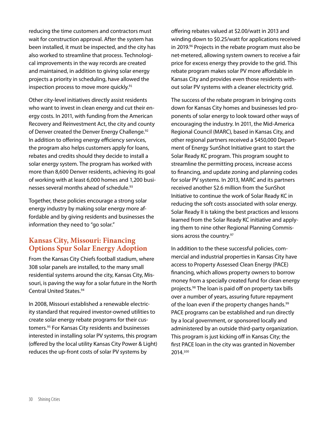reducing the time customers and contractors must wait for construction approval. After the system has been installed, it must be inspected, and the city has also worked to streamline that process. Technological improvements in the way records are created and maintained, in addition to giving solar energy projects a priority in scheduling, have allowed the inspection process to move more quickly.<sup>91</sup>

Other city-level initiatives directly assist residents who want to invest in clean energy and cut their energy costs. In 2011, with funding from the American Recovery and Reinvestment Act, the city and county of Denver created the Denver Energy Challenge.<sup>92</sup> In addition to offering energy efficiency services, the program also helps customers apply for loans, rebates and credits should they decide to install a solar energy system. The program has worked with more than 8,600 Denver residents, achieving its goal of working with at least 6,000 homes and 1,200 businesses several months ahead of schedule.<sup>93</sup>

Together, these policies encourage a strong solar energy industry by making solar energy more affordable and by giving residents and businesses the information they need to "go solar."

#### **Kansas City, Missouri: Financing Options Spur Solar Energy Adoption**

From the Kansas City Chiefs football stadium, where 308 solar panels are installed, to the many small residential systems around the city, Kansas City, Missouri, is paving the way for a solar future in the North Central United States.<sup>94</sup>

In 2008, Missouri established a renewable electricity standard that required investor-owned utilities to create solar energy rebate programs for their customers.<sup>95</sup> For Kansas City residents and businesses interested in installing solar PV systems, this program (offered by the local utility Kansas City Power & Light) reduces the up-front costs of solar PV systems by

offering rebates valued at \$2.00/watt in 2013 and winding down to \$0.25/watt for applications received in 2019.<sup>96</sup> Projects in the rebate program must also be net-metered, allowing system owners to receive a fair price for excess energy they provide to the grid. This rebate program makes solar PV more affordable in Kansas City and provides even those residents without solar PV systems with a cleaner electricity grid.

The success of the rebate program in bringing costs down for Kansas City homes and businesses led proponents of solar energy to look toward other ways of encouraging the industry. In 2011, the Mid-America Regional Council (MARC), based in Kansas City, and other regional partners received a \$450,000 Department of Energy SunShot Initiative grant to start the Solar Ready KC program. This program sought to streamline the permitting process, increase access to financing, and update zoning and planning codes for solar PV systems. In 2013, MARC and its partners received another \$2.6 million from the SunShot Initiative to continue the work of Solar Ready KC in reducing the soft costs associated with solar energy. Solar Ready II is taking the best practices and lessons learned from the Solar Ready KC initiative and applying them to nine other Regional Planning Commissions across the country.<sup>97</sup>

In addition to the these successful policies, commercial and industrial properties in Kansas City have access to Property Assessed Clean Energy (PACE) financing, which allows property owners to borrow money from a specially created fund for clean energy projects.<sup>98</sup> The loan is paid off on property tax bills over a number of years, assuring future repayment of the loan even if the property changes hands.<sup>99</sup> PACE programs can be established and run directly by a local government, or sponsored locally and administered by an outside third-party organization. This program is just kicking off in Kansas City; the first PACE loan in the city was granted in November 2014.100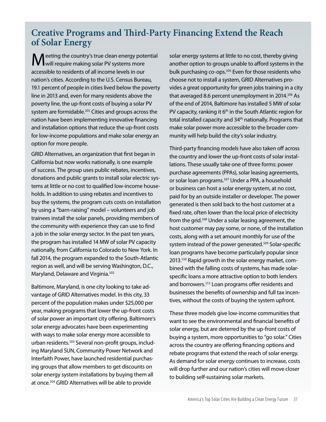## **Creative Programs and Third-Party Financing Extend the Reach of Solar Energy**

**M** eeting the country's true clean energy potential<br>
Wwill require making solar PV systems more accessible to residents of all income levels in our nation's cities. According to the U.S. Census Bureau, 19.1 percent of people in cities lived below the poverty line in 2013 and, even for many residents above the poverty line, the up-front costs of buying a solar PV system are formidable.<sup>101</sup> Cities and groups across the nation have been implementing innovative financing and installation options that reduce the up-front costs for low-income populations and make solar energy an option for more people.

GRID Alternatives, an organization that first began in California but now works nationally, is one example of success. The group uses public rebates, incentives, donations and public grants to install solar electric systems at little or no cost to qualified low-income households. In addition to using rebates and incentives to buy the systems, the program cuts costs on installation by using a "barn-raising" model – volunteers and job trainees install the solar panels, providing members of the community with experience they can use to find a job in the solar energy sector. In the past ten years, the program has installed 14 MW of solar PV capacity nationally, from California to Colorado to New York. In fall 2014, the program expanded to the South-Atlantic region as well, and will be serving Washington, D.C., Maryland, Delaware and Virginia.<sup>102</sup>

Baltimore, Maryland, is one city looking to take advantage of GRID Alternatives model. In this city, 33 percent of the population makes under \$25,000 per year, making programs that lower the up-front costs of solar power an important city offering. Baltimore's solar energy advocates have been experimenting with ways to make solar energy more accessible to urban residents.103 Several non-profit groups, including Maryland SUN, Community Power Network and Interfaith Power, have launched residential purchasing groups that allow members to get discounts on solar energy system installations by buying them all at once.<sup>104</sup> GRID Alternatives will be able to provide

solar energy systems at little to no cost, thereby giving another option to groups unable to afford systems in the bulk purchasing co-ops.<sup>105</sup> Even for those residents who choose not to install a system, GRID Alternatives provides a great opportunity for green jobs training in a city that averaged 8.6 percent unemployment in 2014.<sup>106</sup> As of the end of 2014, Baltimore has installed 5 MW of solar PV capacity, ranking it  $6<sup>th</sup>$  in the South Atlantic region for total installed capacity and 34<sup>th</sup> nationally. Programs that make solar power more accessible to the broader community will help build the city's solar industry.

Third-party financing models have also taken off across the country and lower the up-front costs of solar installations. These usually take one of three forms: power purchase agreements (PPAs), solar leasing agreements, or solar loan programs.<sup>107</sup> Under a PPA, a household or business can host a solar energy system, at no cost, paid for by an outside installer or developer. The power generated is then sold back to the host customer at a fixed rate, often lower than the local price of electricity from the grid.<sup>108</sup> Under a solar leasing agreement, the host customer may pay some, or none, of the installation costs, along with a set amount monthly for use of the system instead of the power generated.<sup>109</sup> Solar-specific loan programs have become particularly popular since 2013.110 Rapid growth in the solar energy market, combined with the falling costs of systems, has made solarspecific loans a more attractive option to both lenders and borrowers.<sup>111</sup> Loan programs offer residents and businesses the benefits of ownership and full tax incentives, without the costs of buying the system upfront.

These three models give low-income communities that want to see the environmental and financial benefits of solar energy, but are deterred by the up-front costs of buying a system, more opportunities to "go solar." Cities across the country are offering financing options and rebate programs that extend the reach of solar energy. As demand for solar energy continues to increase, costs will drop further and our nation's cities will move closer to building self-sustaining solar markets.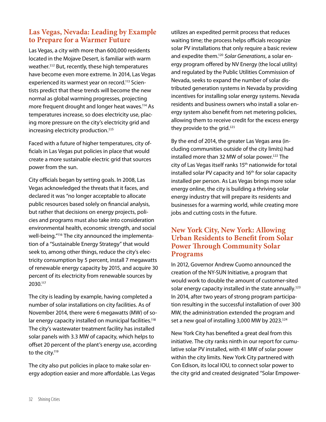#### **Las Vegas, Nevada: Leading by Example to Prepare for a Warmer Future**

Las Vegas, a city with more than 600,000 residents located in the Mojave Desert, is familiar with warm weather.<sup>112</sup> But, recently, these high temperatures have become even more extreme. In 2014, Las Vegas experienced its warmest year on record.<sup>113</sup> Scientists predict that these trends will become the new normal as global warming progresses, projecting more frequent drought and longer heat waves.<sup>114</sup> As temperatures increase, so does electricity use, placing more pressure on the city's electricity grid and increasing electricity production.<sup>115</sup>

Faced with a future of higher temperatures, city officials in Las Vegas put policies in place that would create a more sustainable electric grid that sources power from the sun.

City officials began by setting goals. In 2008, Las Vegas acknowledged the threats that it faces, and declared it was "no longer acceptable to allocate public resources based solely on financial analysis, but rather that decisions on energy projects, policies and programs must also take into consideration environmental health, economic strength, and social well-being."116 The city announced the implementation of a "Sustainable Energy Strategy" that would seek to, among other things, reduce the city's electricity consumption by 5 percent, install 7 megawatts of renewable energy capacity by 2015, and acquire 30 percent of its electricity from renewable sources by 2030.117

The city is leading by example, having completed a number of solar installations on city facilities. As of November 2014, there were 6 megawatts (MW) of solar energy capacity installed on municipal facilities.<sup>118</sup> The city's wastewater treatment facility has installed solar panels with 3.3 MW of capacity, which helps to offset 20 percent of the plant's energy use, according to the city.<sup>119</sup>

The city also put policies in place to make solar energy adoption easier and more affordable. Las Vegas utilizes an expedited permit process that reduces waiting time; the process helps officials recognize solar PV installations that only require a basic review and expedite them.120 *Solar Generations*, a solar energy program offered by NV Energy (the local utility) and regulated by the Public Utilities Commission of Nevada, seeks to expand the number of solar distributed generation systems in Nevada by providing incentives for installing solar energy systems. Nevada residents and business owners who install a solar energy system also benefit from net metering policies, allowing them to receive credit for the excess energy they provide to the grid.<sup>121</sup>

By the end of 2014, the greater Las Vegas area (including communities outside of the city limits) had installed more than 32 MW of solar power.<sup>122</sup> The city of Las Vegas itself ranks 15th nationwide for total installed solar PV capacity and 16th for solar capacity installed per person. As Las Vegas brings more solar energy online, the city is building a thriving solar energy industry that will prepare its residents and businesses for a warming world, while creating more jobs and cutting costs in the future.

#### **New York City, New York: Allowing Urban Residents to Benefit from Solar Power Through Community Solar Programs**

In 2012, Governor Andrew Cuomo announced the creation of the NY-SUN Initiative, a program that would work to double the amount of customer-sited solar energy capacity installed in the state annually.<sup>123</sup> In 2014, after two years of strong program participation resulting in the successful installation of over 300 MW, the administration extended the program and set a new goal of installing 3,000 MW by 2023.<sup>124</sup>

New York City has benefited a great deal from this initiative. The city ranks ninth in our report for cumulative solar PV installed, with 41 MW of solar power within the city limits. New York City partnered with Con Edison, its local IOU, to connect solar power to the city grid and created designated "Solar Empower-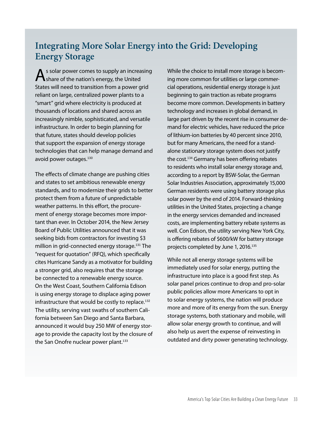## **Integrating More Solar Energy into the Grid: Developing Energy Storage**

As solar power comes to supply an increasing<br>
Share of the nation's energy, the United States will need to transition from a power grid reliant on large, centralized power plants to a "smart" grid where electricity is produced at thousands of locations and shared across an increasingly nimble, sophisticated, and versatile infrastructure. In order to begin planning for that future, states should develop policies that support the expansion of energy storage technologies that can help manage demand and avoid power outages.<sup>130</sup>

The effects of climate change are pushing cities and states to set ambitious renewable energy standards, and to modernize their grids to better protect them from a future of unpredictable weather patterns. In this effort, the procurement of energy storage becomes more important than ever. In October 2014, the New Jersey Board of Public Utilities announced that it was seeking bids from contractors for investing \$3 million in grid-connected energy storage.<sup>131</sup> The "request for quotation" (RFQ), which specifically cites Hurricane Sandy as a motivator for building a stronger grid, also requires that the storage be connected to a renewable energy source. On the West Coast, Southern California Edison is using energy storage to displace aging power infrastructure that would be costly to replace.<sup>132</sup> The utility, serving vast swaths of southern California between San Diego and Santa Barbara, announced it would buy 250 MW of energy storage to provide the capacity lost by the closure of the San Onofre nuclear power plant.<sup>133</sup>

While the choice to install more storage is becoming more common for utilities or large commercial operations, residential energy storage is just beginning to gain traction as rebate programs become more common. Developments in battery technology and increases in global demand, in large part driven by the recent rise in consumer demand for electric vehicles, have reduced the price of lithium-ion batteries by 40 percent since 2010, but for many Americans, the need for a standalone stationary storage system does not justify the cost.<sup>134</sup> Germany has been offering rebates to residents who install solar energy storage and, according to a report by BSW-Solar, the German Solar Industries Association, approximately 15,000 German residents were using battery storage plus solar power by the end of 2014. Forward-thinking utilities in the United States, projecting a change in the energy services demanded and increased costs, are implementing battery rebate systems as well. Con Edison, the utility serving New York City, is offering rebates of \$600/kW for battery storage projects completed by June 1, 2016.<sup>135</sup>

While not all energy storage systems will be immediately used for solar energy, putting the infrastructure into place is a good first step. As solar panel prices continue to drop and pro-solar public policies allow more Americans to opt in to solar energy systems, the nation will produce more and more of its energy from the sun. Energy storage systems, both stationary and mobile, will allow solar energy growth to continue, and will also help us avert the expense of reinvesting in outdated and dirty power generating technology.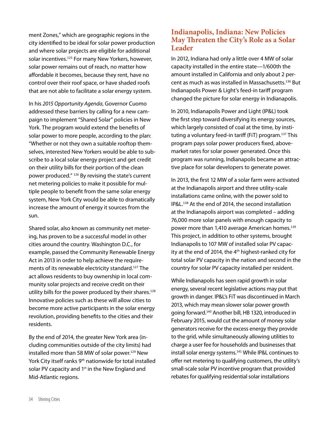ment Zones," which are geographic regions in the city identified to be ideal for solar power production and where solar projects are eligible for additional solar incentives.<sup>125</sup> For many New Yorkers, however, solar power remains out of reach, no matter how affordable it becomes, because they rent, have no control over their roof space, or have shaded roofs that are not able to facilitate a solar energy system.

In his *2015 Opportunity Agenda*, Governor Cuomo addressed these barriers by calling for a new campaign to implement "Shared Solar" policies in New York. The program would extend the benefits of solar power to more people, according to the plan: "Whether or not they own a suitable rooftop themselves, interested New Yorkers would be able to subscribe to a local solar energy project and get credit on their utility bills for their portion of the clean power produced." <sup>126</sup> By revising the state's current net metering policies to make it possible for multiple people to benefit from the same solar energy system, New York City would be able to dramatically increase the amount of energy it sources from the sun.

Shared solar, also known as community net metering, has proven to be a successful model in other cities around the country. Washington D.C., for example, passed the Community Renewable Energy Act in 2013 in order to help achieve the requirements of its renewable electricity standard.<sup>127</sup> The act allows residents to buy ownership in local community solar projects and receive credit on their utility bills for the power produced by their shares.<sup>128</sup> Innovative policies such as these will allow cities to become more active participants in the solar energy revolution, providing benefits to the cities and their residents.

By the end of 2014, the greater New York area (including communities outside of the city limits) had installed more than 58 MW of solar power.<sup>129</sup> New York City itself ranks 9<sup>th</sup> nationwide for total installed solar PV capacity and 1<sup>st</sup> in the New England and Mid-Atlantic regions.

#### **Indianapolis, Indiana: New Policies May Threaten the City's Role as a Solar Leader**

In 2012, Indiana had only a little over 4 MW of solar capacity installed in the entire state—1/600th the amount installed in California and only about 2 percent as much as was installed in Massachusetts.<sup>136</sup> But Indianapolis Power & Light's feed-in tariff program changed the picture for solar energy in Indianapolis.

In 2010, Indianapolis Power and Light (IP&L) took the first step toward diversifying its energy sources, which largely consisted of coal at the time, by instituting a voluntary feed-in tariff (FiT) program.<sup>137</sup> This program pays solar power producers fixed, abovemarket rates for solar power generated. Once this program was running, Indianapolis became an attractive place for solar developers to generate power.

In 2013, the first 12 MW of a solar farm were activated at the Indianapolis airport and three utility-scale installations came online, with the power sold to IP&L.<sup>138</sup> At the end of 2014, the second installation at the Indianapolis airport was completed – adding 76,000 more solar panels with enough capacity to power more than 1,410 average American homes.<sup>139</sup> This project, in addition to other systems, brought Indianapolis to 107 MW of installed solar PV capacity at the end of 2014, the 4<sup>th</sup> highest-ranked city for total solar PV capacity in the nation and second in the country for solar PV capacity installed per resident.

While Indianapolis has seen rapid growth in solar energy, several recent legislative actions may put that growth in danger. IP&L's FiT was discontinued in March 2013, which may mean slower solar power growth going forward.<sup>140</sup> Another bill, HB 1320, introduced in February 2015, would cut the amount of money solar generators receive for the excess energy they provide to the grid, while simultaneously allowing utilities to charge a user fee for households and businesses that install solar energy systems.<sup>141</sup> While IP&L continues to offer net metering to qualifying customers, the utility's small-scale solar PV incentive program that provided rebates for qualifying residential solar installations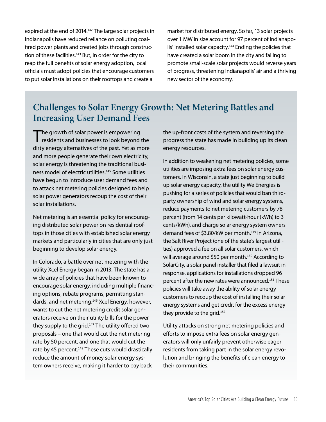expired at the end of 2014.<sup>142</sup> The large solar projects in Indianapolis have reduced reliance on polluting coalfired power plants and created jobs through construction of these facilities.<sup>143</sup> But, in order for the city to reap the full benefits of solar energy adoption, local officials must adopt policies that encourage customers to put solar installations on their rooftops and create a

market for distributed energy. So far, 13 solar projects over 1 MW in size account for 97 percent of Indianapolis' installed solar capacity.<sup>144</sup> Ending the policies that have created a solar boom in the city and failing to promote small-scale solar projects would reverse years of progress, threatening Indianapolis' air and a thriving new sector of the economy.

## **Challenges to Solar Energy Growth: Net Metering Battles and Increasing User Demand Fees**

The growth of solar power is empowering<br>
residents and businesses to look beyond the dirty energy alternatives of the past. Yet as more and more people generate their own electricity, solar energy is threatening the traditional business model of electric utilities.<sup>145</sup> Some utilities have begun to introduce user demand fees and to attack net metering policies designed to help solar power generators recoup the cost of their solar installations.

Net metering is an essential policy for encouraging distributed solar power on residential rooftops in those cities with established solar energy markets and particularly in cities that are only just beginning to develop solar energy.

In Colorado, a battle over net metering with the utility Xcel Energy began in 2013. The state has a wide array of policies that have been known to encourage solar energy, including multiple financing options, rebate programs, permitting standards, and net metering.<sup>146</sup> Xcel Energy, however, wants to cut the net metering credit solar generators receive on their utility bills for the power they supply to the grid.<sup>147</sup> The utility offered two proposals – one that would cut the net metering rate by 50 percent, and one that would cut the rate by 45 percent.<sup>148</sup> These cuts would drastically reduce the amount of money solar energy system owners receive, making it harder to pay back

the up-front costs of the system and reversing the progress the state has made in building up its clean energy resources.

In addition to weakening net metering policies, some utilities are imposing extra fees on solar energy customers. In Wisconsin, a state just beginning to build up solar energy capacity, the utility We Energies is pushing for a series of policies that would ban thirdparty ownership of wind and solar energy systems, reduce payments to net metering customers by 78 percent (from 14 cents per kilowatt-hour (kWh) to 3 cents/kWh), and charge solar energy system owners demand fees of \$3.80/kW per month.<sup>149</sup> In Arizona, the Salt River Project (one of the state's largest utilities) approved a fee on all solar customers, which will average around \$50 per month.<sup>150</sup> According to SolarCity, a solar panel installer that filed a lawsuit in response, applications for installations dropped 96 percent after the new rates were announced.<sup>151</sup> These policies will take away the ability of solar energy customers to recoup the cost of installing their solar energy systems and get credit for the excess energy they provide to the grid.<sup>152</sup>

Utility attacks on strong net metering policies and efforts to impose extra fees on solar energy generators will only unfairly prevent otherwise eager residents from taking part in the solar energy revolution and bringing the benefits of clean energy to their communities.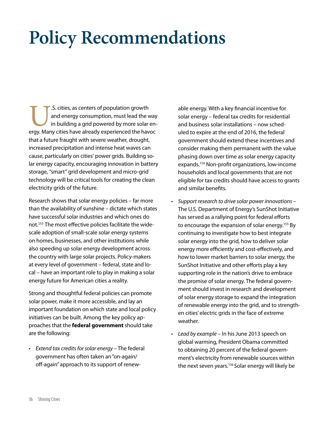# **Policy Recommendations**

U.S. cities, as centers of population growth<br>
and energy consumption, must lead the way<br>
in building a grid powered by more solar en-<br>
ergy. Many cities have already experienced the havoc and energy consumption, must lead the way in building a grid powered by more solar enthat a future fraught with severe weather, drought, increased precipitation and intense heat waves can cause, particularly on cities' power grids. Building solar energy capacity, encouraging innovation in battery storage, "smart" grid development and micro-grid technology will be critical tools for creating the clean electricity grids of the future.

Research shows that solar energy policies – far more than the availability of sunshine – dictate which states have successful solar industries and which ones do not.153 The most effective policies facilitate the widescale adoption of small-scale solar energy systems on homes, businesses, and other institutions while also speeding up solar energy development across the country with large solar projects. Policy-makers at every level of government – federal, state and local – have an important role to play in making a solar energy future for American cities a reality.

Strong and thoughtful federal policies can promote solar power, make it more accessible, and lay an important foundation on which state and local policy initiatives can be built. Among the key policy approaches that the **federal government** should take are the following:

• *Extend tax credits for solar energy* – The federal government has often taken an "on-again/ off-again" approach to its support of renewable energy. With a key financial incentive for solar energy – federal tax credits for residential and business solar installations – now scheduled to expire at the end of 2016, the federal government should extend these incentives and consider making them permanent with the value phasing down over time as solar energy capacity expands.154 Non-profit organizations, low-income households and local governments that are not eligible for tax credits should have access to grants and similar benefits.

- • *Support research to drive solar power innovations*  The U.S. Department of Energy's SunShot Initiative has served as a rallying point for federal efforts to encourage the expansion of solar energy.<sup>155</sup> By continuing to investigate how to best integrate solar energy into the grid, how to deliver solar energy more efficiently and cost-effectively, and how to lower market barriers to solar energy, the SunShot Initiative and other efforts play a key supporting role in the nation's drive to embrace the promise of solar energy. The federal government should invest in research and development of solar energy storage to expand the integration of renewable energy into the grid, and to strengthen cities' electric grids in the face of extreme weather.
- • *Lead by example*  In his June 2013 speech on global warming, President Obama committed to obtaining 20 percent of the federal government's electricity from renewable sources within the next seven years.<sup>156</sup> Solar energy will likely be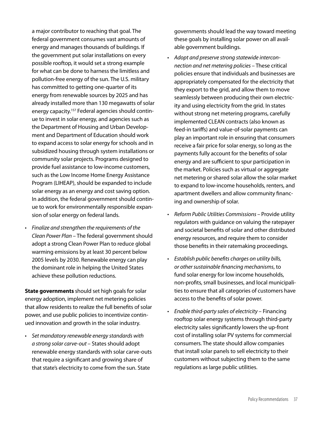a major contributor to reaching that goal. The federal government consumes vast amounts of energy and manages thousands of buildings. If the government put solar installations on every possible rooftop, it would set a strong example for what can be done to harness the limitless and pollution-free energy of the sun. The U.S. military has committed to getting one-quarter of its energy from renewable sources by 2025 and has already installed more than 130 megawatts of solar energy capacity.<sup>157</sup> Federal agencies should continue to invest in solar energy, and agencies such as the Department of Housing and Urban Development and Department of Education should work to expand access to solar energy for schools and in subsidized housing through system installations or community solar projects. Programs designed to provide fuel assistance to low-income customers, such as the Low Income Home Energy Assistance Program (LIHEAP), should be expanded to include solar energy as an energy and cost saving option. In addition, the federal government should continue to work for environmentally responsible expansion of solar energy on federal lands.

• *Finalize and strengthen the requirements of the Clean Power Plan* – The federal government should adopt a strong Clean Power Plan to reduce global warming emissions by at least 30 percent below 2005 levels by 2030. Renewable energy can play the dominant role in helping the United States achieve these pollution reductions.

**State governments** should set high goals for solar energy adoption, implement net metering policies that allow residents to realize the full benefits of solar power, and use public policies to incentivize continued innovation and growth in the solar industry.

• *Set mandatory renewable energy standards with a strong solar carve-out* – States should adopt renewable energy standards with solar carve-outs that require a significant and growing share of that state's electricity to come from the sun. State

governments should lead the way toward meeting these goals by installing solar power on all available government buildings.

- • *Adopt and preserve strong statewide interconnection and net metering policies* – These critical policies ensure that individuals and businesses are appropriately compensated for the electricity that they export to the grid, and allow them to move seamlessly between producing their own electricity and using electricity from the grid. In states without strong net metering programs, carefully implemented CLEAN contracts (also known as feed-in tariffs) and value-of-solar payments can play an important role in ensuring that consumers receive a fair price for solar energy, so long as the payments fully account for the benefits of solar energy and are sufficient to spur participation in the market. Policies such as virtual or aggregate net metering or shared solar allow the solar market to expand to low-income households, renters, and apartment dwellers and allow community financing and ownership of solar.
- • *Reform Public Utilities Commissions* Provide utility regulators with guidance on valuing the ratepayer and societal benefits of solar and other distributed energy resources, and require them to consider those benefits in their ratemaking proceedings.
- • *Establish public benefits charges on utility bills, or other sustainable financing mechanisms*, to fund solar energy for low income households, non-profits, small businesses, and local municipalities to ensure that all categories of customers have access to the benefits of solar power.
- • *Enable third-party sales of electricity*  Financing rooftop solar energy systems through third-party electricity sales significantly lowers the up-front cost of installing solar PV systems for commercial consumers. The state should allow companies that install solar panels to sell electricity to their customers without subjecting them to the same regulations as large public utilities.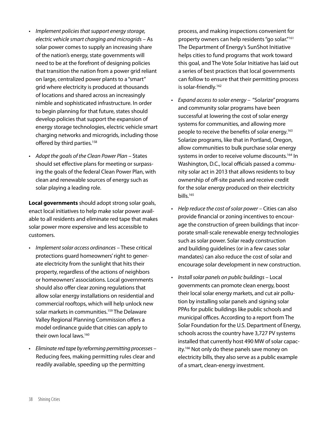- • *Implement policies that support energy storage, electric vehicle smart charging and microgrids* – As solar power comes to supply an increasing share of the nation's energy, state governments will need to be at the forefront of designing policies that transition the nation from a power grid reliant on large, centralized power plants to a "smart" grid where electricity is produced at thousands of locations and shared across an increasingly nimble and sophisticated infrastructure. In order to begin planning for that future, states should develop policies that support the expansion of energy storage technologies, electric vehicle smart charging networks and microgrids, including those offered by third parties.<sup>158</sup>
- • *Adopt the goals of the Clean Power Plan* States should set effective plans for meeting or surpassing the goals of the federal Clean Power Plan, with clean and renewable sources of energy such as solar playing a leading role.

**Local governments** should adopt strong solar goals, enact local initiatives to help make solar power available to all residents and eliminate red tape that makes solar power more expensive and less accessible to customers.

- • *Implement solar access ordinances* These critical protections guard homeowners' right to generate electricity from the sunlight that hits their property, regardless of the actions of neighbors or homeowners' associations. Local governments should also offer clear zoning regulations that allow solar energy installations on residential and commercial rooftops, which will help unlock new solar markets in communities.<sup>159</sup> The Delaware Valley Regional Planning Commission offers a model ordinance guide that cities can apply to their own local laws.<sup>160</sup>
- • *Eliminate red tape by reforming permitting processes* Reducing fees, making permitting rules clear and readily available, speeding up the permitting

process, and making inspections convenient for property owners can help residents "go solar."161 The Department of Energy's SunShot Initiative helps cities to fund programs that work toward this goal, and The Vote Solar Initiative has laid out a series of best practices that local governments can follow to ensure that their permitting process is solar-friendly.<sup>162</sup>

- • *Expand access to solar energy* "Solarize" programs and community solar programs have been successful at lowering the cost of solar energy systems for communities, and allowing more people to receive the benefits of solar energy.<sup>163</sup> Solarize programs, like that in Portland, Oregon, allow communities to bulk purchase solar energy systems in order to receive volume discounts.<sup>164</sup> In Washington, D.C., local officials passed a community solar act in 2013 that allows residents to buy ownership of off-site panels and receive credit for the solar energy produced on their electricity bills.165
- Help reduce the cost of solar power Cities can also provide financial or zoning incentives to encourage the construction of green buildings that incorporate small-scale renewable energy technologies such as solar power. Solar ready construction and building guidelines (or in a few cases solar mandates) can also reduce the cost of solar and encourage solar development in new construction.
- • *Install solar panels on public buildings* Local governments can promote clean energy, boost their local solar energy markets, and cut air pollution by installing solar panels and signing solar PPAs for public buildings like public schools and municipal offices. According to a report from The Solar Foundation for the U.S. Department of Energy, schools across the country have 3,727 PV systems installed that currently host 490 MW of solar capacity.<sup>166</sup> Not only do these panels save money on electricity bills, they also serve as a public example of a smart, clean-energy investment.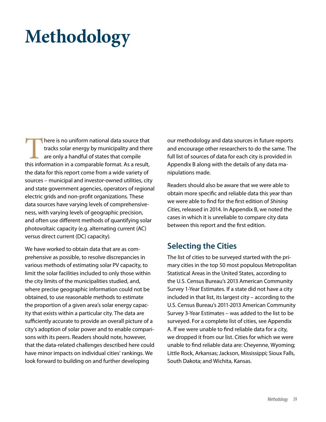# **Methodology**

There is no uniform national data source that tracks solar energy by municipality and there are only a handful of states that compile this information in a comparable format. As a result, the data for this report come from a wide variety of sources – municipal and investor-owned utilities, city and state government agencies, operators of regional electric grids and non-profit organizations. These data sources have varying levels of comprehensiveness, with varying levels of geographic precision, and often use different methods of quantifying solar photovoltaic capacity (e.g. alternating current (AC) versus direct current (DC) capacity).

We have worked to obtain data that are as comprehensive as possible, to resolve discrepancies in various methods of estimating solar PV capacity, to limit the solar facilities included to only those within the city limits of the municipalities studied, and, where precise geographic information could not be obtained, to use reasonable methods to estimate the proportion of a given area's solar energy capacity that exists within a particular city. The data are sufficiently accurate to provide an overall picture of a city's adoption of solar power and to enable comparisons with its peers. Readers should note, however, that the data-related challenges described here could have minor impacts on individual cities' rankings. We look forward to building on and further developing

our methodology and data sources in future reports and encourage other researchers to do the same. The full list of sources of data for each city is provided in Appendix B along with the details of any data manipulations made.

Readers should also be aware that we were able to obtain more specific and reliable data this year than we were able to find for the first edition of *Shining Cities*, released in 2014. In Appendix B, we noted the cases in which it is unreliable to compare city data between this report and the first edition.

#### **Selecting the Cities**

The list of cities to be surveyed started with the primary cities in the top 50 most populous Metropolitan Statistical Areas in the United States, according to the U.S. Census Bureau's 2013 American Community Survey 1-Year Estimates. If a state did not have a city included in that list, its largest city – according to the U.S. Census Bureau's 2011-2013 American Community Survey 3-Year Estimates – was added to the list to be surveyed. For a complete list of cities, see Appendix A. If we were unable to find reliable data for a city, we dropped it from our list. Cities for which we were unable to find reliable data are: Cheyenne, Wyoming; Little Rock, Arkansas; Jackson, Mississippi; Sioux Falls, South Dakota; and Wichita, Kansas.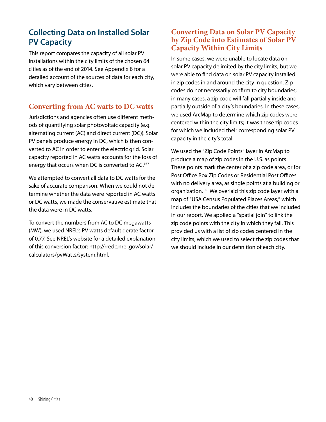### **Collecting Data on Installed Solar PV Capacity**

This report compares the capacity of all solar PV installations within the city limits of the chosen 64 cities as of the end of 2014. See Appendix B for a detailed account of the sources of data for each city, which vary between cities.

#### **Converting from AC watts to DC watts**

Jurisdictions and agencies often use different methods of quantifying solar photovoltaic capacity (e.g. alternating current (AC) and direct current (DC)). Solar PV panels produce energy in DC, which is then converted to AC in order to enter the electric grid. Solar capacity reported in AC watts accounts for the loss of energy that occurs when DC is converted to AC.<sup>167</sup>

We attempted to convert all data to DC watts for the sake of accurate comparison. When we could not determine whether the data were reported in AC watts or DC watts, we made the conservative estimate that the data were in DC watts.

To convert the numbers from AC to DC megawatts (MW), we used NREL's PV watts default derate factor of 0.77. See NREL's website for a detailed explanation of this conversion factor: http://rredc.nrel.gov/solar/ calculators/pvWatts/system.html.

#### **Converting Data on Solar PV Capacity by Zip Code into Estimates of Solar PV Capacity Within City Limits**

In some cases, we were unable to locate data on solar PV capacity delimited by the city limits, but we were able to find data on solar PV capacity installed in zip codes in and around the city in question. Zip codes do not necessarily confirm to city boundaries; in many cases, a zip code will fall partially inside and partially outside of a city's boundaries. In these cases, we used ArcMap to determine which zip codes were centered within the city limits; it was those zip codes for which we included their corresponding solar PV capacity in the city's total.

We used the "Zip Code Points" layer in ArcMap to produce a map of zip codes in the U.S. as points. These points mark the center of a zip code area, or for Post Office Box Zip Codes or Residential Post Offices with no delivery area, as single points at a building or organization.<sup>168</sup> We overlaid this zip code layer with a map of "USA Census Populated Places Areas," which includes the boundaries of the cities that we included in our report. We applied a "spatial join" to link the zip code points with the city in which they fall. This provided us with a list of zip codes centered in the city limits, which we used to select the zip codes that we should include in our definition of each city.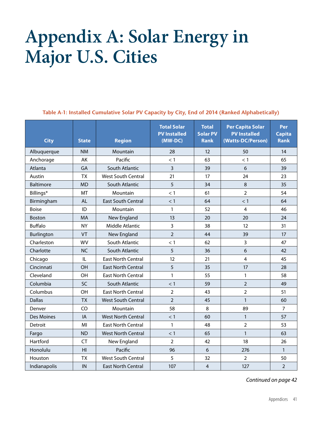## **Appendix A: Solar Energy in Major U.S. Cities**

**Table A-1: Installed Cumulative Solar PV Capacity by City, End of 2014 (Ranked Alphabetically)**

| <b>City</b>      | <b>State</b>   | <b>Region</b>             | <b>Total Solar</b><br><b>PV Installed</b><br>$(MW-DC)$ | <b>Total</b><br><b>Solar PV</b><br><b>Rank</b> | <b>Per Capita Solar</b><br><b>PV Installed</b><br>(Watts-DC/Person) | Per<br><b>Capita</b><br><b>Rank</b> |
|------------------|----------------|---------------------------|--------------------------------------------------------|------------------------------------------------|---------------------------------------------------------------------|-------------------------------------|
| Albuquerque      | <b>NM</b>      | Mountain                  | 28                                                     | 12                                             | 50                                                                  | 14                                  |
| Anchorage        | AK             | Pacific                   | < 1                                                    | 63                                             | < 1                                                                 | 65                                  |
| Atlanta          | GA             | South Atlantic            | 3                                                      | 39                                             | 6                                                                   | 39                                  |
| Austin           | <b>TX</b>      | <b>West South Central</b> | 21                                                     | 17                                             | 24                                                                  | 23                                  |
| <b>Baltimore</b> | <b>MD</b>      | South Atlantic            | 5                                                      | 34                                             | 8                                                                   | 35                                  |
| Billings*        | MT             | Mountain                  | < 1                                                    | 61                                             | $\overline{2}$                                                      | 54                                  |
| Birmingham       | AL             | <b>East South Central</b> | < 1                                                    | 64                                             | < 1                                                                 | 64                                  |
| <b>Boise</b>     | ID             | Mountain                  | $\mathbf{1}$                                           | 52                                             | 4                                                                   | 46                                  |
| <b>Boston</b>    | <b>MA</b>      | New England               | 13                                                     | 20                                             | 20                                                                  | 24                                  |
| <b>Buffalo</b>   | <b>NY</b>      | Middle Atlantic           | 3                                                      | 38                                             | 12                                                                  | 31                                  |
| Burlington       | VT             | New England               | $\overline{2}$                                         | 44                                             | 39                                                                  | 17                                  |
| Charleston       | <b>WV</b>      | South Atlantic            | < 1                                                    | 62                                             | 3                                                                   | 47                                  |
| Charlotte        | <b>NC</b>      | South Atlantic            | 5                                                      | 36                                             | 6                                                                   | 42                                  |
| Chicago          | IL             | <b>East North Central</b> | 12                                                     | 21                                             | 4                                                                   | 45                                  |
| Cincinnati       | OH             | <b>East North Central</b> | 5                                                      | 35                                             | 17                                                                  | 28                                  |
| Cleveland        | OH             | <b>East North Central</b> | 1                                                      | 55                                             | 1                                                                   | 58                                  |
| Columbia         | <b>SC</b>      | South Atlantic            | $<$ 1                                                  | 59                                             | $\overline{2}$                                                      | 49                                  |
| Columbus         | <b>OH</b>      | <b>East North Central</b> | $\overline{2}$                                         | 43                                             | $\overline{2}$                                                      | 51                                  |
| <b>Dallas</b>    | <b>TX</b>      | <b>West South Central</b> | $\overline{2}$                                         | 45                                             | $\mathbf{1}$                                                        | 60                                  |
| Denver           | CO             | Mountain                  | 58                                                     | 8                                              | 89                                                                  | $\overline{7}$                      |
| Des Moines       | IA             | <b>West North Central</b> | < 1                                                    | 60                                             | $\mathbf{1}$                                                        | 57                                  |
| Detroit          | MI             | <b>East North Central</b> | $\mathbf{1}$                                           | 48                                             | $\overline{2}$                                                      | 53                                  |
| Fargo            | <b>ND</b>      | <b>West North Central</b> | < 1                                                    | 65                                             | 1                                                                   | 63                                  |
| Hartford         | <b>CT</b>      | New England               | $\overline{2}$                                         | 42                                             | 18                                                                  | 26                                  |
| Honolulu         | H <sub>l</sub> | Pacific                   | 96                                                     | 6                                              | 276                                                                 | $\mathbf{1}$                        |
| Houston          | <b>TX</b>      | <b>West South Central</b> | 5                                                      | 32                                             | $\overline{2}$                                                      | 50                                  |
| Indianapolis     | IN             | <b>East North Central</b> | 107                                                    | $\overline{4}$                                 | 127                                                                 | $\overline{2}$                      |

*Continued on page 42*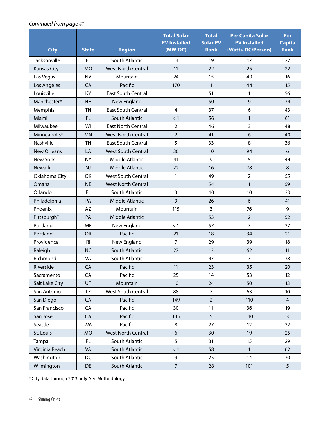#### *Continued from page 41*

| <b>City</b>        | <b>State</b>   | <b>Region</b>             | <b>Total Solar</b><br><b>PV Installed</b><br>(MW-DC) | <b>Total</b><br><b>Solar PV</b><br><b>Rank</b> | <b>Per Capita Solar</b><br><b>PV Installed</b><br>(Watts-DC/Person) | Per<br><b>Capita</b><br><b>Rank</b> |
|--------------------|----------------|---------------------------|------------------------------------------------------|------------------------------------------------|---------------------------------------------------------------------|-------------------------------------|
| Jacksonville       | FL             | South Atlantic            | 14                                                   | 19                                             | 17                                                                  | 27                                  |
| <b>Kansas City</b> | <b>MO</b>      | <b>West North Central</b> | 11                                                   | 22                                             | 25                                                                  | 22                                  |
| Las Vegas          | <b>NV</b>      | Mountain                  | 24                                                   | 15                                             | 40                                                                  | 16                                  |
| Los Angeles        | CA             | Pacific                   | 170                                                  | $\mathbf{1}$                                   | 44                                                                  | 15                                  |
| Louisville         | <b>KY</b>      | <b>East South Central</b> | 1                                                    | 51                                             | $\mathbf{1}$                                                        | 56                                  |
| Manchester*        | <b>NH</b>      | New England               | $\mathbf{1}$                                         | 50                                             | $\mathsf 9$                                                         | 34                                  |
| Memphis            | ΤN             | East South Central        | $\overline{4}$                                       | 37                                             | 6                                                                   | 43                                  |
| Miami              | FL.            | South Atlantic            | < 1                                                  | 56                                             | $\mathbf{1}$                                                        | 61                                  |
| Milwaukee          | WI             | <b>East North Central</b> | $\overline{2}$                                       | 46                                             | 3                                                                   | 48                                  |
| Minneapolis*       | <b>MN</b>      | <b>West North Central</b> | $\overline{2}$                                       | 41                                             | 6                                                                   | 40                                  |
| Nashville          | <b>TN</b>      | <b>East South Central</b> | 5                                                    | 33                                             | 8                                                                   | 36                                  |
| <b>New Orleans</b> | LA             | <b>West South Central</b> | 36                                                   | 10                                             | 94                                                                  | 6                                   |
| New York           | <b>NY</b>      | Middle Atlantic           | 41                                                   | 9                                              | 5                                                                   | 44                                  |
| <b>Newark</b>      | <b>NJ</b>      | Middle Atlantic           | 22                                                   | 16                                             | 78                                                                  | 8                                   |
| Oklahoma City      | OK             | <b>West South Central</b> | 1                                                    | 49                                             | $\overline{2}$                                                      | 55                                  |
| Omaha              | <b>NE</b>      | <b>West North Central</b> | $\mathbf{1}$                                         | 54                                             | $\mathbf{1}$                                                        | 59                                  |
| Orlando            | FL             | South Atlantic            | 3                                                    | 40                                             | 10                                                                  | 33                                  |
| Philadelphia       | PA             | Middle Atlantic           | 9                                                    | 26                                             | 6                                                                   | 41                                  |
| Phoenix            | AZ             | Mountain                  | 115                                                  | 3                                              | 76                                                                  | 9                                   |
| Pittsburgh*        | PA             | Middle Atlantic           | $\mathbf{1}$                                         | 53                                             | $\overline{2}$                                                      | 52                                  |
| Portland           | ME             | New England               | < 1                                                  | 57                                             | $\overline{7}$                                                      | 37                                  |
| Portland           | OR             | Pacific                   | 21                                                   | 18                                             | 34                                                                  | 21                                  |
| Providence         | R <sub>l</sub> | New England               | $\overline{7}$                                       | 29                                             | 39                                                                  | 18                                  |
| Raleigh            | <b>NC</b>      | South Atlantic            | 27                                                   | 13                                             | 62                                                                  | 11                                  |
| Richmond           | VA             | South Atlantic            | 1                                                    | 47                                             | 7                                                                   | 38                                  |
| Riverside          | CA             | Pacific                   | 11                                                   | 23                                             | 35                                                                  | 20                                  |
| Sacramento         | CA             | Pacific                   | 25                                                   | 14                                             | 53                                                                  | 12                                  |
| Salt Lake City     | UT             | Mountain                  | 10 <sup>°</sup>                                      | 24                                             | 50                                                                  | 13                                  |
| San Antonio        | TX             | West South Central        | 88                                                   | $\overline{7}$                                 | 63                                                                  | 10                                  |
| San Diego          | CA             | Pacific                   | 149                                                  | $\overline{2}$                                 | 110                                                                 | $\overline{4}$                      |
| San Francisco      | CA             | Pacific                   | 30                                                   | 11                                             | 36                                                                  | 19                                  |
| San Jose           | CA             | Pacific                   | 105                                                  | 5                                              | 110                                                                 | $\overline{3}$                      |
| Seattle            | <b>WA</b>      | Pacific                   | 8                                                    | 27                                             | 12                                                                  | 32                                  |
| St. Louis          | <b>MO</b>      | <b>West North Central</b> | $\boldsymbol{6}$                                     | 30                                             | 19                                                                  | 25                                  |
| Tampa              | FL             | South Atlantic            | 5                                                    | 31                                             | 15                                                                  | 29                                  |
| Virginia Beach     | VA             | South Atlantic            | < 1                                                  | 58                                             | $\mathbf{1}$                                                        | 62                                  |
| Washington         | DC             | South Atlantic            | 9                                                    | 25                                             | 14                                                                  | 30                                  |
| Wilmington         | DE             | South Atlantic            | $\boldsymbol{7}$                                     | 28                                             | 101                                                                 | 5                                   |

\* City data through 2013 only. See Methodology.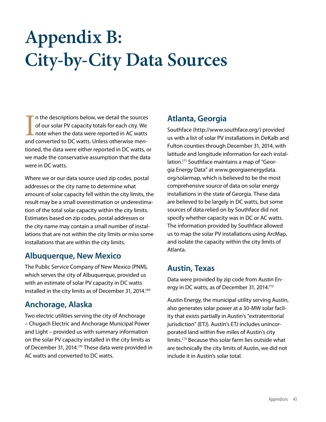# **Appendix B: City-by-City Data Sources**

In the descriptions below, we detail the sources<br>of our solar PV capacity totals for each city. We<br>note when the data were reported in AC watts<br>and converted to DC watts. Unless otherwise menn the descriptions below, we detail the sources of our solar PV capacity totals for each city. We note when the data were reported in AC watts tioned, the data were either reported in DC watts, or we made the conservative assumption that the data were in DC watts.

Where we or our data source used zip codes, postal addresses or the city name to determine what amount of solar capacity fell within the city limits, the result may be a small overestimation or underestimation of the total solar capacity within the city limits. Estimates based on zip codes, postal addresses or the city name may contain a small number of installations that are not within the city limits or miss some installations that are within the city limits.

#### **Albuquerque, New Mexico**

The Public Service Company of New Mexico (PNM), which serves the city of Albuquerque, provided us with an estimate of solar PV capacity in DC watts installed in the city limits as of December 31, 2014.<sup>169</sup>

#### **Anchorage, Alaska**

Two electric utilities serving the city of Anchorage – Chugach Electric and Anchorage Municipal Power and Light – provided us with summary information on the solar PV capacity installed in the city limits as of December 31, 2014.<sup>170</sup> These data were provided in AC watts and converted to DC watts.

#### **Atlanta, Georgia**

Southface (http://www.southface.org/) provided us with a list of solar PV installations in DeKalb and Fulton counties through December 31, 2014, with latitude and longitude information for each installation.171 Southface maintains a map of "Georgia Energy Data" at www.georgiaenergydata. org/solarmap, which is believed to be the most comprehensive source of data on solar energy installations in the state of Georgia. These data are believed to be largely in DC watts, but some sources of data relied on by Southface did not specify whether capacity was in DC or AC watts. The information provided by Southface allowed us to map the solar PV installations using ArcMap, and isolate the capacity within the city limits of Atlanta.

#### **Austin, Texas**

Data were provided by zip code from Austin Energy in DC watts, as of December 31, 2014.<sup>172</sup>

Austin Energy, the municipal utility serving Austin, also generates solar power at a 30-MW solar facility that exists partially in Austin's "extraterritorial jurisdiction" (ETJ). Austin's ETJ includes unincorporated land within five miles of Austin's city limits.<sup>173</sup> Because this solar farm lies outside what are technically the city limits of Austin, we did not include it in Austin's solar total.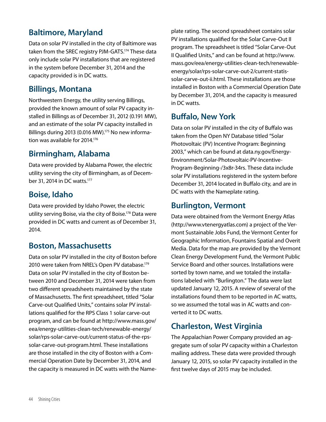### **Baltimore, Maryland**

Data on solar PV installed in the city of Baltimore was taken from the SREC registry PJM-GATS.<sup>174</sup> These data only include solar PV installations that are registered in the system before December 31, 2014 and the capacity provided is in DC watts.

#### **Billings, Montana**

Northwestern Energy, the utility serving Billings, provided the known amount of solar PV capacity installed in Billings as of December 31, 2012 (0.191 MW), and an estimate of the solar PV capacity installed in Billings during 2013 (0.016 MW).<sup>175</sup> No new information was available for 2014.<sup>176</sup>

#### **Birmingham, Alabama**

Data were provided by Alabama Power, the electric utility serving the city of Birmingham, as of December 31, 2014 in DC watts.177

#### **Boise, Idaho**

Data were provided by Idaho Power, the electric utility serving Boise, via the city of Boise.<sup>178</sup> Data were provided in DC watts and current as of December 31, 2014.

#### **Boston, Massachusetts**

Data on solar PV installed in the city of Boston before 2010 were taken from NREL's Open PV database.<sup>179</sup> Data on solar PV installed in the city of Boston between 2010 and December 31, 2014 were taken from two different spreadsheets maintained by the state of Massachusetts. The first spreadsheet, titled "Solar Carve-out Qualified Units," contains solar PV installations qualified for the RPS Class 1 solar carve-out program, and can be found at http://www.mass.gov/ eea/energy-utilities-clean-tech/renewable-energy/ solar/rps-solar-carve-out/current-status-of-the-rpssolar-carve-out-program.html. These installations are those installed in the city of Boston with a Commercial Operation Date by December 31, 2014, and the capacity is measured in DC watts with the Nameplate rating. The second spreadsheet contains solar PV installations qualified for the Solar Carve-Out II program. The spreadsheet is titled "Solar Carve-Out II Qualified Units," and can be found at http://www. mass.gov/eea/energy-utilities-clean-tech/renewableenergy/solar/rps-solar-carve-out-2/current-statissolar-carve-out-ii.html. These installations are those installed in Boston with a Commercial Operation Date by December 31, 2014, and the capacity is measured in DC watts.

#### **Buffalo, New York**

Data on solar PV installed in the city of Buffalo was taken from the Open NY Database titled "Solar Photovoltaic (PV) Incentive Program: Beginning 2003," which can be found at data.ny.gov/Energy-Environment/Solar-Photovoltaic-PV-Incentive-Program-Beginning-/3x8r-34rs. These data include solar PV installations registered in the system before December 31, 2014 located in Buffalo city, and are in DC watts with the Nameplate rating.

#### **Burlington, Vermont**

Data were obtained from the Vermont Energy Atlas (http://www.vtenergyatlas.com) a project of the Vermont Sustainable Jobs Fund, the Vermont Center for Geographic Information, Fountains Spatial and Overit Media. Data for the map are provided by the Vermont Clean Energy Development Fund, the Vermont Public Service Board and other sources. Installations were sorted by town name, and we totaled the installations labeled with "Burlington." The data were last updated January 12, 2015. A review of several of the installations found them to be reported in AC watts, so we assumed the total was in AC watts and converted it to DC watts.

## **Charleston, West Virginia**

The Appalachian Power Company provided an aggregate sum of solar PV capacity within a Charleston mailing address. These data were provided through January 12, 2015, so solar PV capacity installed in the first twelve days of 2015 may be included.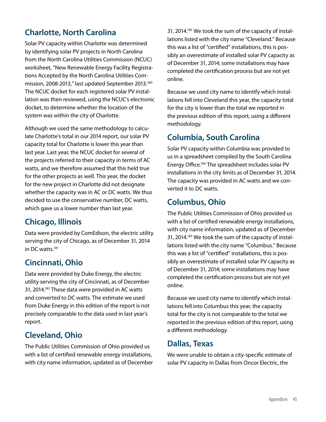### **Charlotte, North Carolina**

Solar PV capacity within Charlotte was determined by identifying solar PV projects in North Carolina from the North Carolina Utilities Commission (NCUC) worksheet, "New Renewable Energy Facility Registrations Accepted by the North Carolina Utilities Commission, 2008-2013," last updated September 2013.<sup>180</sup> The NCUC docket for each registered solar PV installation was then reviewed, using the NCUC's electronic docket, to determine whether the location of the system was within the city of Charlotte.

Although we used the same methodology to calculate Charlotte's total in our 2014 report, our solar PV capacity total for Charlotte is lower this year than last year. Last year, the NCUC docket for several of the projects referred to their capacity in terms of AC watts, and we therefore assumed that this held true for the other projects as well. This year, the docket for the new project in Charlotte did not designate whether the capacity was in AC or DC watts. We thus decided to use the conservative number, DC watts, which gave us a lower number than last year.

#### **Chicago, Illinois**

Data were provided by ComEdison, the electric utility serving the city of Chicago, as of December 31, 2014 in DC watts.181

#### **Cincinnati, Ohio**

Data were provided by Duke Energy, the electric utility serving the city of Cincinnati, as of December 31, 2014.<sup>182</sup> These data were provided in AC watts and converted to DC watts. The estimate we used from Duke Energy in this edition of the report is not precisely comparable to the data used in last year's report.

#### **Cleveland, Ohio**

The Public Utilities Commission of Ohio provided us with a list of certified renewable energy installations, with city name information, updated as of December 31, 2014.<sup>183</sup> We took the sum of the capacity of installations listed with the city name "Cleveland." Because this was a list of "certified" installations, this is possibly an overestimate of installed solar PV capacity as of December 31, 2014; some installations may have completed the certification process but are not yet online.

Because we used city name to identify which installations fell into Cleveland this year, the capacity total for the city is lower than the total we reported in the previous edition of this report, using a different methodology.

#### **Columbia, South Carolina**

Solar PV capacity within Columbia was provided to us in a spreadsheet compiled by the South Carolina Energy Office.184 The spreadsheet includes solar PV installations in the city limits as of December 31, 2014. The capacity was provided in AC watts and we converted it to DC watts.

#### **Columbus, Ohio**

The Public Utilities Commission of Ohio provided us with a list of certified renewable energy installations, with city name information, updated as of December 31, 2014.<sup>185</sup> We took the sum of the capacity of installations listed with the city name "Columbus." Because this was a list of "certified" installations, this is possibly an overestimate of installed solar PV capacity as of December 31, 2014; some installations may have completed the certification process but are not yet online.

Because we used city name to identify which installations fell into Columbus this year, the capacity total for the city is not comparable to the total we reported in the previous edition of this report, using a different methodology.

#### **Dallas, Texas**

We were unable to obtain a city-specific estimate of solar PV capacity in Dallas from Oncor Electric, the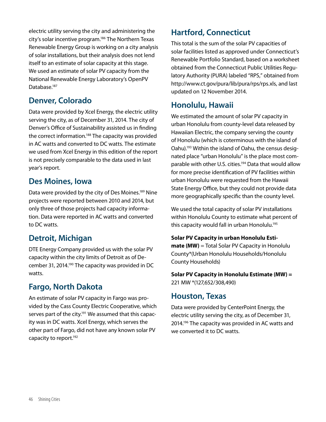electric utility serving the city and administering the city's solar incentive program.<sup>186</sup> The Northern Texas Renewable Energy Group is working on a city analysis of solar installations, but their analysis does not lend itself to an estimate of solar capacity at this stage. We used an estimate of solar PV capacity from the National Renewable Energy Laboratory's OpenPV Database.<sup>187</sup>

### **Denver, Colorado**

Data were provided by Xcel Energy, the electric utility serving the city, as of December 31, 2014. The city of Denver's Office of Sustainability assisted us in finding the correct information.<sup>188</sup> The capacity was provided in AC watts and converted to DC watts. The estimate we used from Xcel Energy in this edition of the report is not precisely comparable to the data used in last year's report.

#### **Des Moines, Iowa**

Data were provided by the city of Des Moines.<sup>189</sup> Nine projects were reported between 2010 and 2014, but only three of those projects had capacity information. Data were reported in AC watts and converted to DC watts.

## **Detroit, Michigan**

DTE Energy Company provided us with the solar PV capacity within the city limits of Detroit as of December 31, 2014.<sup>190</sup> The capacity was provided in DC watts.

#### **Fargo, North Dakota**

An estimate of solar PV capacity in Fargo was provided by the Cass County Electric Cooperative, which serves part of the city.<sup>191</sup> We assumed that this capacity was in DC watts. Xcel Energy, which serves the other part of Fargo, did not have any known solar PV capacity to report.<sup>192</sup>

### **Hartford, Connecticut**

This total is the sum of the solar PV capacities of solar facilities listed as approved under Connecticut's Renewable Portfolio Standard, based on a worksheet obtained from the Connecticut Public Utilities Regulatory Authority (PURA) labeled "RPS," obtained from http://www.ct.gov/pura/lib/pura/rps/rps.xls, and last updated on 12 November 2014.

#### **Honolulu, Hawaii**

We estimated the amount of solar PV capacity in urban Honolulu from county-level data released by Hawaiian Electric, the company serving the county of Honolulu (which is coterminous with the island of Oahu).193 Within the island of Oahu, the census designated place "urban Honolulu" is the place most comparable with other U.S. cities.<sup>194</sup> Data that would allow for more precise identification of PV facilities within urban Honolulu were requested from the Hawaii State Energy Office, but they could not provide data more geographically specific than the county level.

We used the total capacity of solar PV installations within Honolulu County to estimate what percent of this capacity would fall in urban Honolulu.<sup>195</sup>

**Solar PV Capacity in urban Honolulu Estimate (MW)** = Total Solar PV Capacity in Honolulu County\*(Urban Honolulu Households/Honolulu County Households)

**Solar PV Capacity in Honolulu Estimate (MW) =**  221 MW \*(127,652/308,490)

#### **Houston, Texas**

Data were provided by CenterPoint Energy, the electric utility serving the city, as of December 31, 2014.196 The capacity was provided in AC watts and we converted it to DC watts.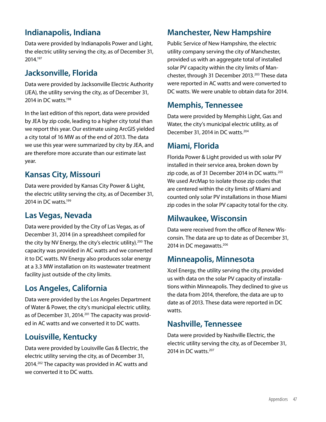### **Indianapolis, Indiana**

Data were provided by Indianapolis Power and Light, the electric utility serving the city, as of December 31, 2014.197

### **Jacksonville, Florida**

Data were provided by Jacksonville Electric Authority (JEA), the utility serving the city, as of December 31, 2014 in DC watts.<sup>198</sup>

In the last edition of this report, data were provided by JEA by zip code, leading to a higher city total than we report this year. Our estimate using ArcGIS yielded a city total of 16 MW as of the end of 2013. The data we use this year were summarized by city by JEA, and are therefore more accurate than our estimate last year.

#### **Kansas City, Missouri**

Data were provided by Kansas City Power & Light, the electric utility serving the city, as of December 31, 2014 in DC watts.<sup>199</sup>

#### **Las Vegas, Nevada**

Data were provided by the City of Las Vegas, as of December 31, 2014 (in a spreadsheet compiled for the city by NV Energy, the city's electric utility).<sup>200</sup> The capacity was provided in AC watts and we converted it to DC watts. NV Energy also produces solar energy at a 3.3 MW installation on its wastewater treatment facility just outside of the city limits.

#### **Los Angeles, California**

Data were provided by the Los Angeles Department of Water & Power, the city's municipal electric utility, as of December 31, 2014.<sup>201</sup> The capacity was provided in AC watts and we converted it to DC watts.

#### **Louisville, Kentucky**

Data were provided by Louisville Gas & Electric, the electric utility serving the city, as of December 31, 2014.202 The capacity was provided in AC watts and we converted it to DC watts.

#### **Manchester, New Hampshire**

Public Service of New Hampshire, the electric utility company serving the city of Manchester, provided us with an aggregate total of installed solar PV capacity within the city limits of Manchester, through 31 December 2013.<sup>203</sup> These data were reported in AC watts and were converted to DC watts. We were unable to obtain data for 2014.

#### **Memphis, Tennessee**

Data were provided by Memphis Light, Gas and Water, the city's municipal electric utility, as of December 31, 2014 in DC watts.<sup>204</sup>

#### **Miami, Florida**

Florida Power & Light provided us with solar PV installed in their service area, broken down by zip code, as of 31 December 2014 in DC watts.<sup>205</sup> We used ArcMap to isolate those zip codes that are centered within the city limits of Miami and counted only solar PV installations in those Miami zip codes in the solar PV capacity total for the city.

#### **Milwaukee, Wisconsin**

Data were received from the office of Renew Wisconsin. The data are up to date as of December 31, 2014 in DC megawatts.<sup>206</sup>

#### **Minneapolis, Minnesota**

Xcel Energy, the utility serving the city, provided us with data on the solar PV capacity of installations within Minneapolis. They declined to give us the data from 2014, therefore, the data are up to date as of 2013. These data were reported in DC watts.

#### **Nashville, Tennessee**

Data were provided by Nashville Electric, the electric utility serving the city, as of December 31, 2014 in DC watts.<sup>207</sup>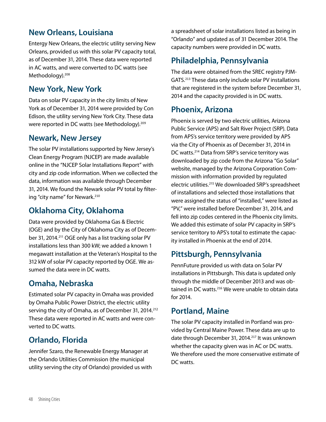#### **New Orleans, Louisiana**

Entergy New Orleans, the electric utility serving New Orleans, provided us with this solar PV capacity total, as of December 31, 2014. These data were reported in AC watts, and were converted to DC watts (see Methodology).<sup>208</sup>

#### **New York, New York**

Data on solar PV capacity in the city limits of New York as of December 31, 2014 were provided by Con Edison, the utility serving New York City. These data were reported in DC watts (see Methodology).<sup>209</sup>

#### **Newark, New Jersey**

The solar PV installations supported by New Jersey's Clean Energy Program (NJCEP) are made available online in the "NJCEP Solar Installations Report" with city and zip code information. When we collected the data, information was available through December 31, 2014. We found the Newark solar PV total by filtering "city name" for Newark.<sup>210</sup>

#### **Oklahoma City, Oklahoma**

Data were provided by Oklahoma Gas & Electric (OGE) and by the City of Oklahoma City as of December 31, 2014.<sup>211</sup> OGE only has a list tracking solar PV installations less than 300 kW; we added a known 1 megawatt installation at the Veteran's Hospital to the 312 kW of solar PV capacity reported by OGE. We assumed the data were in DC watts.

#### **Omaha, Nebraska**

Estimated solar PV capacity in Omaha was provided by Omaha Public Power District, the electric utility serving the city of Omaha, as of December 31, 2014.<sup>212</sup> These data were reported in AC watts and were converted to DC watts.

#### **Orlando, Florida**

Jennifer Szaro, the Renewable Energy Manager at the Orlando Utilities Commission (the municipal utility serving the city of Orlando) provided us with a spreadsheet of solar installations listed as being in "Orlando" and updated as of 31 December 2014. The capacity numbers were provided in DC watts.

### **Philadelphia, Pennsylvania**

The data were obtained from the SREC registry PJM-GATS.<sup>213</sup> These data only include solar PV installations that are registered in the system before December 31, 2014 and the capacity provided is in DC watts.

#### **Phoenix, Arizona**

Phoenix is served by two electric utilities, Arizona Public Service (APS) and Salt River Project (SRP). Data from APS's service territory were provided by APS via the City of Phoenix as of December 31, 2014 in DC watts.<sup>214</sup> Data from SRP's service territory was downloaded by zip code from the Arizona "Go Solar" website, managed by the Arizona Corporation Commission with information provided by regulated electric utilities.215 We downloaded SRP's spreadsheet of installations and selected those installations that were assigned the status of "installed," were listed as "PV," were installed before December 31, 2014, and fell into zip codes centered in the Phoenix city limits. We added this estimate of solar PV capacity in SRP's service territory to APS's total to estimate the capacity installed in Phoenix at the end of 2014.

#### **Pittsburgh, Pennsylvania**

PennFuture provided us with data on Solar PV installations in Pittsburgh. This data is updated only through the middle of December 2013 and was obtained in DC watts.<sup>216</sup> We were unable to obtain data for 2014.

#### **Portland, Maine**

The solar PV capacity installed in Portland was provided by Central Maine Power. These data are up to date through December 31, 2014.<sup>217</sup> It was unknown whether the capacity given was in AC or DC watts. We therefore used the more conservative estimate of DC watts.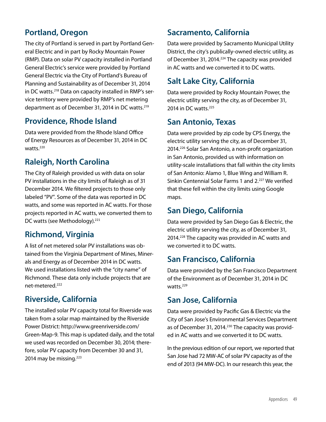### **Portland, Oregon**

The city of Portland is served in part by Portland General Electric and in part by Rocky Mountain Power (RMP). Data on solar PV capacity installed in Portland General Electric's service were provided by Portland General Electric via the City of Portland's Bureau of Planning and Sustainability as of December 31, 2014 in DC watts.218 Data on capacity installed in RMP's service territory were provided by RMP's net metering department as of December 31, 2014 in DC watts.219

#### **Providence, Rhode Island**

Data were provided from the Rhode Island Office of Energy Resources as of December 31, 2014 in DC watts.<sup>220</sup>

#### **Raleigh, North Carolina**

The City of Raleigh provided us with data on solar PV installations in the city limits of Raleigh as of 31 December 2014. We filtered projects to those only labeled "PV". Some of the data was reported in DC watts, and some was reported in AC watts. For those projects reported in AC watts, we converted them to DC watts (see Methodology).<sup>221</sup>

#### **Richmond, Virginia**

A list of net metered solar PV installations was obtained from the Virginia Department of Mines, Minerals and Energy as of December 2014 in DC watts. We used installations listed with the "city name" of Richmond. These data only include projects that are net-metered.222

#### **Riverside, California**

The installed solar PV capacity total for Riverside was taken from a solar map maintained by the Riverside Power District: http://www.greenriverside.com/ Green-Map-9. This map is updated daily, and the total we used was recorded on December 30, 2014; therefore, solar PV capacity from December 30 and 31, 2014 may be missing.<sup>223</sup>

#### **Sacramento, California**

Data were provided by Sacramento Municipal Utility District, the city's publically-owned electric utility, as of December 31, 2014.<sup>224</sup> The capacity was provided in AC watts and we converted it to DC watts.

#### **Salt Lake City, California**

Data were provided by Rocky Mountain Power, the electric utility serving the city, as of December 31, 2014 in DC watts.<sup>225</sup>

#### **San Antonio, Texas**

Data were provided by zip code by CPS Energy, the electric utility serving the city, as of December 31, 2014.226 Solar San Antonio, a non-profit organization in San Antonio, provided us with information on utility-scale installations that fall within the city limits of San Antonio: Alamo 1, Blue Wing and William R. Sinkin Centennial Solar Farms 1 and 2.<sup>227</sup> We verified that these fell within the city limits using Google maps.

#### **San Diego, California**

Data were provided by San Diego Gas & Electric, the electric utility serving the city, as of December 31, 2014.<sup>228</sup> The capacity was provided in AC watts and we converted it to DC watts.

#### **San Francisco, California**

Data were provided by the San Francisco Department of the Environment as of December 31, 2014 in DC watts.<sup>229</sup>

#### **San Jose, California**

Data were provided by Pacific Gas & Electric via the City of San Jose's Environmental Services Department as of December 31, 2014.<sup>230</sup> The capacity was provided in AC watts and we converted it to DC watts.

In the previous edition of our report, we reported that San Jose had 72 MW-AC of solar PV capacity as of the end of 2013 (94 MW-DC). In our research this year, the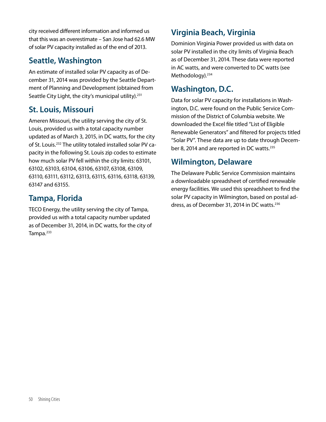city received different information and informed us that this was an overestimate – San Jose had 62.6 MW of solar PV capacity installed as of the end of 2013.

### **Seattle, Washington**

An estimate of installed solar PV capacity as of December 31, 2014 was provided by the Seattle Department of Planning and Development (obtained from Seattle City Light, the city's municipal utility).<sup>231</sup>

#### **St. Louis, Missouri**

Ameren Missouri, the utility serving the city of St. Louis, provided us with a total capacity number updated as of March 3, 2015, in DC watts, for the city of St. Louis.232 The utility totaled installed solar PV capacity in the following St. Louis zip codes to estimate how much solar PV fell within the city limits: 63101, 63102, 63103, 63104, 63106, 63107, 63108, 63109, 63110, 63111, 63112, 63113, 63115, 63116, 63118, 63139, 63147 and 63155.

#### **Tampa, Florida**

TECO Energy, the utility serving the city of Tampa, provided us with a total capacity number updated as of December 31, 2014, in DC watts, for the city of Tampa.<sup>233</sup>

## **Virginia Beach, Virginia**

Dominion Virginia Power provided us with data on solar PV installed in the city limits of Virginia Beach as of December 31, 2014. These data were reported in AC watts, and were converted to DC watts (see Methodology).<sup>234</sup>

### **Washington, D.C.**

Data for solar PV capacity for installations in Washington, D.C. were found on the Public Service Commission of the District of Columbia website. We downloaded the Excel file titled "List of Eligible Renewable Generators" and filtered for projects titled "Solar PV". These data are up to date through December 8, 2014 and are reported in DC watts.<sup>235</sup>

### **Wilmington, Delaware**

The Delaware Public Service Commission maintains a downloadable spreadsheet of certified renewable energy facilities. We used this spreadsheet to find the solar PV capacity in Wilmington, based on postal address, as of December 31, 2014 in DC watts.<sup>236</sup>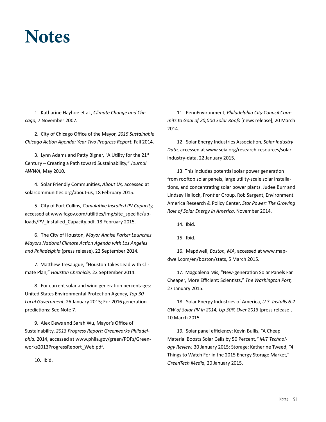## **Notes**

1. Katharine Hayhoe et al., *Climate Change and Chicago,* 7 November 2007.

2. City of Chicago Office of the Mayor, *2015 Sustainable Chicago Action Agenda: Year Two Progress Report*, Fall 2014.

3. Lynn Adams and Patty Bigner, "A Utility for the 21st Century – Creating a Path toward Sustainability*,*" *Journal AWWA,* May 2010.

4. Solar Friendly Communities, *About Us,* accessed at solarcommunities.org/about-us, 18 February 2015.

5. City of Fort Collins, *Cumulative Installed PV Capacity,*  accessed at www.fcgov.com/utilities/img/site\_specific/uploads/PV\_Installed\_Capacity.pdf, 18 February 2015.

6. The City of Houston, *Mayor Annise Parker Launches Mayors National Climate Action Agenda with Los Angeles and Philadelphia* (press release), 22 September 2014.

7. Matthew Tresaugue, "Houston Takes Lead with Climate Plan," *Houston Chronicle,* 22 September 2014.

8. For current solar and wind generation percentages: United States Environmental Protection Agency, *Top 30 Local Government*, 26 January 2015; For 2016 generation predictions: See Note 7.

9. Alex Dews and Sarah Wu, Mayor's Office of Sustainability, *2013 Progress Report: Greenworks Philadelphia,* 2014, accessed at www.phila.gov/green/PDFs/Greenworks2013ProgressReport\_Web.pdf.

10. Ibid.

11. PennEnvironment, *Philadelphia City Council Commits to Goal of 20,000 Solar Roofs* [news release], 20 March 2014.

12. Solar Energy Industries Association, *Solar Industry Data,* accessed at www.seia.org/research-resources/solarindustry-data, 22 January 2015.

13. This includes potential solar power generation from rooftop solar panels, large utility-scale solar installations, and concentrating solar power plants. Judee Burr and Lindsey Hallock, Frontier Group, Rob Sargent, Environment America Research & Policy Center, *Star Power: The Growing Role of Solar Energy in America*, November 2014.

14. Ibid.

15. Ibid.

16. Mapdwell, *Boston, MA,* accessed at www.mapdwell.com/en/boston/stats, 5 March 2015.

17. Magdalena Mis, "New-generation Solar Panels Far Cheaper, More Efficient: Scientists," *The Washington Post,*  27 January 2015.

18. Solar Energy Industries of America, *U.S. Installs 6.2 GW of Solar PV in 2014, Up 30% Over 2013* [press release]*,*  10 March 2015.

19. Solar panel efficiency: Kevin Bullis, "A Cheap Material Boosts Solar Cells by 50 Percent*," MIT Technology Review,* 30 January 2015; Storage: Katherine Tweed, "4 Things to Watch For in the 2015 Energy Storage Market," *GreenTech Media,* 20 January 2015.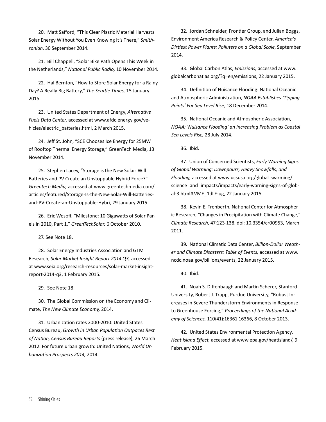20. Matt Safford, "This Clear Plastic Material Harvests Solar Energy Without You Even Knowing It's There," *Smithsonian*, 30 September 2014.

21. Bill Chappell, "Solar Bike Path Opens This Week in the Netherlands," *National Public Radio,* 10 November 2014.

22. Hal Bernton, "How to Store Solar Energy for a Rainy Day? A Really Big Battery," *The Seattle Times,* 15 January 2015.

23. United States Department of Energy, *Alternative Fuels Data Center,* accessed at www.afdc.energy.gov/vehicles/electric\_batteries.html, 2 March 2015.

24. Jeff St. John, "SCE Chooses Ice Energy for 25MW of Rooftop Thermal Energy Storage," GreenTech Media, 13 November 2014.

25. Stephen Lacey, "Storage is the New Solar: Will Batteries and PV Create an Unstoppable Hybrid Force?" *Greentech Media,* accessed at www.greentechmedia.com/ articles/featured/Storage-Is-the-New-Solar-Will-Batteriesand-PV-Create-an-Unstoppable-Hybri, 29 January 2015.

26. Eric Wesoff, "Milestone: 10 Gigawatts of Solar Panels in 2010, Part 1," *GreenTechSolar,* 6 October 2010.

27. See Note 18.

28. Solar Energy Industries Association and GTM Research, *Solar Market Insight Report 2014 Q3,* accessed at www.seia.org/research-resources/solar-market-insightreport-2014-q3, 1 February 2015.

29. See Note 18.

30. The Global Commission on the Economy and Climate, *The New Climate Economy,* 2014.

31. Urbanization rates 2000-2010: United States Census Bureau, *Growth in Urban Population Outpaces Rest of Nation, Census Bureau Reports* (press release), 26 March 2012. For future urban growth: United Nations, *World Urbanization Prospects 2014,* 2014.

32. Jordan Schneider, Frontier Group, and Julian Boggs, Environment America Research & Policy Center, *America's Dirtiest Power Plants: Polluters on a Global Scale*, September 2014.

33. Global Carbon Atlas, *Emissions,* accessed at www. globalcarbonatlas.org/?q=en/emissions, 22 January 2015.

34. Definition of Nuisance Flooding: National Oceanic and Atmospheric Administration, *NOAA Establishes 'Tipping Points' For Sea Level Rise,* 18 December 2014.

35. National Oceanic and Atmospheric Association, *NOAA: 'Nuisance Flooding' an Increasing Problem as Coastal Sea Levels Rise,* 28 July 2014.

36. Ibid.

37. Union of Concerned Scientists, *Early Warning Signs of Global Warming: Downpours, Heavy Snowfalls, and Flooding,* accessed at www.ucsusa.org/global\_warming/ science and impacts/impacts/early-warning-signs-of-global-3.html#.VME\_1dLF-ug, 22 January 2015.

38. Kevin E. Trenberth, National Center for Atmospheric Research, "Changes in Precipitation with Climate Change," *Climate Research,* 47:123-138, doi: 10.3354/cr00953, March 2011.

39. National Climatic Data Center, *Billion-Dollar Weather and Climate Disasters: Table of Events,* accessed at www. ncdc.noaa.gov/billions/events, 22 January 2015.

40. Ibid.

41. Noah S. Diffenbaugh and Martin Scherer, Stanford University, Robert J. Trapp, Purdue University, "Robust Increases in Severe Thunderstorm Environments in Response to Greenhouse Forcing," *Proceedings of the National Academy of Sciences,* 110(41):16361-16366, 8 October 2013.

42. United States Environmental Protection Agency, *Heat Island Effect,* accessed at www.epa.gov/heatisland/, 9 February 2015.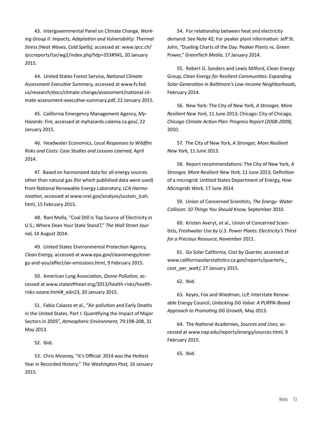43. Intergovernmental Panel on Climate Change, *Working Group II: Impacts, Adaptation and Vulnerability: Thermal Stress (Heat Waves, Cold Spells),* accessed at: www.ipcc.ch/ ipccreports/tar/wg2/index.php?idp=353#941, 20 January 2015.

44. United States Forest Service, *National Climate Assessment Executive Summary,* accessed at www.fs.fed. us/research/docs/climate-change/assessment/national-climate-assessment-executive-summary.pdf, 22 January 2015.

45. California Emergency Management Agency, *My-Hazards: Fire,* accessed at myhazards.calema.ca.gov/, 22 January 2015.

46. Headwater Economics, *Local Responses to Wildfire Risks and Costs: Case Studies and Lessons Learned,* April 2014.

47. Based on harmonized data for all energy sources other than natural gas (for which published data were used) from National Renewable Energy Laboratory, *LCA Harmonization,* accessed at www.nrel.gov/analysis/sustain\_lcah. html, 15 February 2015.

48. Rani Molla, "Coal Still Is Top Source of Electricity in U.S.; Where Does Your State Stand?," *The Wall Street Journal,* 14 August 2014.

49. United States Environmental Protection Agency, *Clean Energy,* accessed at www.epa.gov/cleanenergy/energy-and-you/affect/air-emissions.html, 9 February 2015.

50. American Lung Association, *Ozone Pollution,* accessed at www.stateoftheair.org/2013/health-risks/healthrisks-ozone.html#\_edn23, 20 January 2015.

51. Fabio Caiazzo et al., "Air pollution and Early Deaths in the United States. Part I: Quantifying the Impact of Major Sectors in 2005", *Atmospheric Environment,* 79:198-208, 31 May 2013.

52. Ibid.

53. Chris Mooney, "It's Official: 2014 was the Hottest Year in Recorded History," *The Washington Post,* 16 January 2015.

54. For relationship between heat and electricity demand: See Note 42; For peaker plant information: Jeff St. John, "Dueling Charts of the Day: Peaker Plants vs. Green Power," *GreenTech Media,* 17 January 2014.

55. Robert G. Sanders and Lewis Milford, Clean Energy Group, *Clean Energy for Resilient Communities: Expanding Solar Generation in Baltimore's Low-Income Neighborhoods,*  February 2014.

56. New York: The City of New York, *A Stronger, More Resilient New York,* 11 June 2013; Chicago: City of Chicago, *Chicago Climate Action Plan: Progress Report (2008-2009),* 2010.

57. The City of New York, *A Stronger, More Resilient New York,* 11 June 2013.

58. Report recommendations: The City of New York, *A Stronger, More Resilient New York,* 11 June 2013; Definition of a microgrid: Untited States Department of Energy, *How Microgrids Work,* 17 June 2014.

59. Union of Concerned Scientists, *The Energy- Water Collision: 10 Things You Should Know,* September 2010.

60. Kristen Averyt, et al., Union of Concerned Scientists, *Freshwater Use by U.S. Power Plants: Electricity's Thirst for a Precious Resource*, November 2011.

61. Go Solar California, *Cost by Quarter,* accessed at www.californiasolarstatistics.ca.gov/reports/quarterly\_ cost per watt/, 27 January 2015.

62. Ibid.

63. Keyes, Fox and Wiedman, LLP, Interstate Renewable Energy Council, *Unlocking DG Value: A PURPA-Based Approach to Promoting DG Growth,* May 2013.

64. The National Academies, *Sources and Uses,* accessed at www.nap.edu/reports/energy/sources.html, 9 February 2015.

65. Ibid.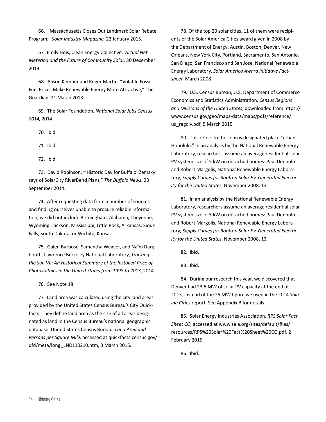66. "Massachusetts Closes Out Landmark Solar Rebate Program," *Solar Industry Magazine,* 22 January 2015.

67. Emily Hois, Clean Energy Collective, *Virtual Net Meterina and the Future of Community Solar,* 30 December 2013.

68. Alison Kemper and Roger Martin, "Volatile Fossil Fuel Prices Make Renewable Energy More Attractive," The Guardian, 21 March 2013.

69. The Solar Foundation, *National Solar Jobs Census 2014,* 2014.

70. Ibid.

71. Ibid.

72. Ibid.

73. David Robinson, "'Historic Day for Buffalo' Zemsky says of SolarCity RiverBend Plans," *The Buffalo News,* 23 September 2014.

74. After requesting data from a number of sources and finding ourselves unable to procure reliable information, we did not include Birmingham, Alabama; Cheyenne, Wyoming; Jackson, Mississippi; Little Rock, Arkansas; Sioux Falls, South Dakota; or Wichita, Kansas.

75. Galen Barbose, Samantha Weaver, and Naïm Darghouth, Lawrence Berkeley National Laboratory, *Tracking the Sun VII: An Historical Summary of the Installed Price of Photovoltaics in the United States from 1998 to 2013*, 2014.

76. See Note 18.

77. Land area was calculated using the city land areas provided by the United States Census Bureau's City Quickfacts. They define land area as the size of all areas designated as land in the Census Bureau's national geographic database. United States Census Bureau, *Land Area and Persons per Square Mile,* accessed at quickfacts.census.gov/ qfd/meta/long\_LND110210.htm, 3 March 2015.

78. Of the top 20 solar cities, 11 of them were recipients of the Solar America Cities award given in 2008 by the Department of Energy: Austin, Boston, Denver, New Orleans, New York City, Portland, Sacramento, San Antonio, San Diego, San Francisco and San Jose. National Renewable Energy Laboratory, *Solar America Award Initiative Factsheet,* March 2008.

79. U.S. Census Bureau, U.S. Department of Commerce Economics and Statistics Administration, *Census Regions and Divisions of the United States*, downloaded from https:// www.census.gov/geo/maps-data/maps/pdfs/reference/ us regdiv.pdf, 5 March 2015.

80. This refers to the census designated place "urban Honolulu." In an analysis by the National Renewable Energy Laboratory, researchers assume an average residential solar PV system size of 5 kW on detached homes: Paul Denholm and Robert Margolis, National Renewable Energy Laboratory, *Supply Curves for Rooftop Solar PV-Generated Electricity for the United States*, November 2008, 13.

81. In an analysis by the National Renewable Energy Laboratory, researchers assume an average residential solar PV system size of 5 kW on detached homes: Paul Denholm and Robert Margolis, National Renewable Energy Laboratory, *Supply Curves for Rooftop Solar PV-Generated Electricity for the United States*, November 2008, 13.

82. Ibid.

83. Ibid.

84. During our research this year, we discovered that Denver had 23.5 MW of solar PV capacity at the end of 2013, instead of the 25 MW figure we used in the 2014 *Shining Cities* report. See Appendix B for details.

85. Solar Energy Industries Association, *RPS Solar Fact Sheet CO,* accessed at www.seia.org/sites/default/files/ resources/RPS%20Solar%20Fact%20Sheet%20CO.pdf, 2 February 2015.

86. Ibid.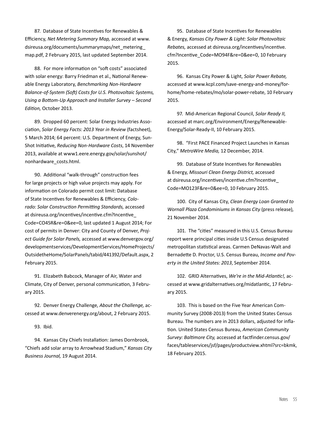87. Database of State Incentives for Renewables & Efficiency, *Net Metering Summary Map,* accessed at www. dsireusa.org/documents/summarymaps/net\_metering\_ map.pdf, 2 February 2015, last updated September 2014.

88. For more information on "soft costs" associated with solar energy: Barry Friedman et al., National Renewable Energy Laboratory, *Benchmarking Non-Hardware Balance-of-System (Soft) Costs for U.S. Photovoltaic Systems, Using a Bottom-Up Approach and Installer Survey – Second Edition,* October 2013.

89. Dropped 60 percent: Solar Energy Industries Association, *Solar Energy Facts: 2013 Year in Review* (factsheet), 5 March 2014; 64 percent: U.S. Department of Energy, Sun-Shot Initiative, *Reducing Non-Hardware Costs*, 14 November 2013, available at www1.eere.energy.gov/solar/sunshot/ nonhardware\_costs.html.

90. Additional "walk-through" construction fees for large projects or high value projects may apply. For information on Colorado permit cost limit: Database of State Incentives for Renewables & Efficiency, *Colorado: Solar Construction Permitting Standards,* accessed at dsireusa.org/incentives/incentive.cfm?Incentive\_ Code=CO45R&re=0&ee=0, last updated 1 August 2014; For cost of permits in Denver: City and County of Denver, *Project Guide for Solar Panels,* accessed at www.denvergov.org/ developmentservices/DevelopmentServices/HomeProjects/ OutsidetheHome/SolarPanels/tabid/441392/Default.aspx, 2 February 2015.

91. Elizabeth Babcock, Manager of Air, Water and Climate, City of Denver, personal communication, 3 February 2015.

92. Denver Energy Challenge, *About the Challenge,* accessed at www.denverenergy.org/about, 2 February 2015.

93. Ibid.

94. Kansas City Chiefs Installation: James Dornbrook, "Chiefs add solar array to Arrowhead Stadium," *Kansas City Business Journal,* 19 August 2014.

95. Database of State Incentives for Renewables & Energy, *Kansas City Power & Light: Solar Photovoltaic Rebates,* accessed at dsireusa.org/incentives/incentive. cfm?Incentive\_Code=MO94F&re=0&ee=0, 10 February 2015.

96. Kansas City Power & Light, *Solar Power Rebate,*  accessed at www.kcpl.com/save-energy-and-money/forhome/home-rebates/mo/solar-power-rebate, 10 February 2015.

97. Mid-American Regional Council, *Solar Ready II,*  accessed at marc.org/Environment/Energy/Renewable-Energy/Solar-Ready-II, 10 February 2015.

98. "First PACE Financed Project Launches in Kansas City," *MetroWire Media,* 12 December, 2014.

99. Database of State Incentives for Renewables & Energy, *Missouri Clean Energy District,* accessed at dsireusa.org/incentives/incentive.cfm?Incentive\_ Code=MO123F&re=0&ee=0, 10 February 2015.

100. City of Kansas City, *Clean Energy Loan Granted to Wornall Plaza Condominiums in Kansas City* (press release)*,* 21 November 2014.

101. The "cities" measured in this U.S. Census Bureau report were principal cities inside U.S Census designated metropolitan statistical areas. Carmen DeNavas-Walt and Bernadette D. Proctor, U.S. Census Bureau, *Income and Poverty in the United States: 2013*, September 2014.

102. GRID Alternatives, *We're in the Mid-Atlantic!,* accessed at www.gridalternatives.org/midatlantic, 17 February 2015.

103. This is based on the Five Year American Community Survey (2008-2013) from the United States Census Bureau. The numbers are in 2013 dollars, adjusted for inflation. United States Census Bureau, *American Community Survey: Baltimore City,* accessed at factfinder.census.gov/ faces/tableservices/jsf/pages/productview.xhtml?src=bkmk, 18 February 2015.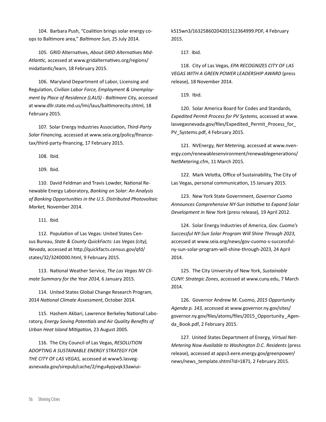104. Barbara Push, "Coalition brings solar energy coops to Baltimore area," *Baltimore Sun,* 25 July 2014.

105. GRID Alternatives, *About GRID Alternatives Mid-Atlantic,* accessed at www.gridalternatives.org/regions/ midatlantic/learn, 18 February 2015.

106. Maryland Department of Labor, Licensing and Regulation, *Civilian Labor Force, Employment & Unemployment by Place of Residence (LAUS) - Baltimore City*, accessed at www.dllr.state.md.us/lmi/laus/baltimorecity.shtml, 18 February 2015.

107. Solar Energy Industries Association, *Third-Party Solar Financing*, accessed at www.seia.org/policy/financetax/third-party-financing, 17 February 2015.

108. Ibid.

109. Ibid.

110. David Feldman and Travis Lowder, National Renewable Energy Laboratory, *Banking on Solar: An Analysis of Banking Opportunities in the U.S. Distributed Photovoltaic Market,* November 2014.

111. Ibid.

112. Population of Las Vegas: United States Census Bureau, *State & County QuickFacts: Las Vegas (city), Nevada,* accessed at http://quickfacts.census.gov/qfd/ states/32/3240000.html, 9 February 2015.

113. National Weather Service, *The Las Vegas NV Climate Summary for the Year 2014,* 6 January 2015.

114. United States Global Change Research Program, 2014 *National Climate Assessment*, October 2014.

115. Hashem Akbari, Lawrence Berkeley National Laboratory, *Energy Saving Potentials and Air Quality Benefits of Urban Heat Island Mitigation,* 23 August 2005.

116. The City Council of Las Vegas, *RESOLUTION ADOPTING A SUSTAINABLE ENERGY STRATEGY FOR THE CITY OF LAS VEGAS,* accessed at www5.lasvegasnevada.gov/sirepub/cache/2/mgu4ypjvqk33awiuik515wn3/16325860204201512364999.PDF, 4 February 2015.

117. Ibid.

118. City of Las Vegas, *EPA RECOGNIZES CITY OF LAS VEGAS WITH A GREEN POWER LEADERSHIP AWARD* (press release), 18 November 2014.

119. Ibid.

120. Solar America Board for Codes and Standards, *Expedited Permit Process for PV Systems,* accessed at www. lasvegasnevada.gov/files/Expedited\_Permit\_Process\_for\_ PV Systems.pdf, 4 February 2015.

121. NVEnergy, *Net Metering,* accessed at www.nvenergy.com/renewablesenvironment/renewablegenerations/ NetMetering.cfm, 11 March 2015.

122. Mark Velotta, Office of Sustainability, The City of Las Vegas, personal communication, 15 January 2015.

123. New York State Government, *Governor Cuomo Announces Comprehensive NY-Sun Initiative to Expand Solar Development in New York* (press release), 19 April 2012.

124. Solar Energy Industries of America, *Gov. Cuomo's Successful NY-Sun Solar Program Will Shine Through 2023*, accessed at www.seia.org/news/gov-cuomo-s-successfulny-sun-solar-program-will-shine-through-2023, 24 April 2014.

125. The City University of New York, *Sustainable CUNY: Strategic Zones*, accessed at www.cuny.edu, 7 March 2014.

126. Governor Andrew M. Cuomo, *2015 Opportunity Agenda p. 143,* accessed at www.governor.ny.gov/sites/ governor.ny.gov/files/atoms/files/2015\_Opportunity\_Agenda\_Book.pdf, 2 February 2015.

127. United States Department of Energy, *Virtual Net-Metering Now Available to Washington D.C. Residents* (press release), accessed at apps3.eere.energy.gov/greenpower/ news/news\_template.shtml?id=1871, 2 February 2015.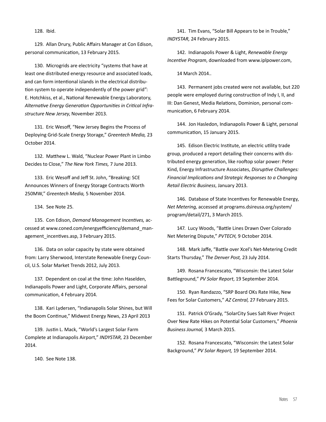128. Ibid.

129. Allan Drury, Public Affairs Manager at Con Edison, personal communication, 13 February 2015.

130. Microgrids are electricity "systems that have at least one distributed energy resource and associated loads, and can form intentional islands in the electrical distribution system to operate independently of the power grid": E. Hotchkiss, et al., National Renewable Energy Laboratory, *Alternative Energy Generation Opportunities in Critical Infrastructure New Jersey*, November 2013.

131. Eric Wesoff, "New Jersey Begins the Process of Deploying Grid-Scale Energy Storage," *Greentech Media,* 23 October 2014.

132. Matthew L. Wald, "Nuclear Power Plant in Limbo Decides to Close," *The New York Times,* 7 June 2013.

133. Eric Wesoff and Jeff St. John, "Breaking: SCE Announces Winners of Energy Storage Contracts Worth 250MW," *Greentech Media,* 5 November 2014.

134. See Note 25.

135. Con Edison, *Demand Management Incentives,* accessed at www.coned.com/energyefficiency/demand\_management incentives.asp, 3 February 2015.

136. Data on solar capacity by state were obtained from: Larry Sherwood, Interstate Renewable Energy Council, U.S. Solar Market Trends 2012, July 2013.

137. Dependent on coal at the time: John Haselden, Indianapolis Power and Light, Corporate Affairs, personal communication, 4 February 2014.

138. Kari Lydersen, "Indianapolis Solar Shines, but Will the Boom Continue," Midwest Energy News, 23 April 2013

139. Justin L. Mack, "World's Largest Solar Farm Complete at Indianapolis Airport," *INDYSTAR,* 23 December 2014.

140. See Note 138.

141. Tim Evans, "Solar Bill Appears to be in Trouble," *INDYSTAR,* 24 February 2015.

142. Indianapolis Power & Light, *Renewable Energy Incentive Program*, downloaded from www.iplpower.com,

14 March 2014..

143. Permanent jobs created were not available, but 220 people were employed during construction of Indy I, II, and III: Dan Genest, Media Relations, Dominion, personal communication, 6 February 2014.

144. Jon Hasledon, Indianapolis Power & Light, personal communication, 15 January 2015.

145. Edison Electric Institute, an electric utility trade group, produced a report detailing their concerns with distributed energy generation, like rooftop solar power: Peter Kind, Energy Infrastructure Associates, *Disruptive Challenges: Financial Implications and Strategic Responses to a Changing Retail Electric Business*, January 2013.

146. Database of State Incentives for Renewable Energy, *Net Metering,* accessed at programs.dsireusa.org/system/ program/detail/271, 3 March 2015.

147. Lucy Woods, "Battle Lines Drawn Over Colorado Net Metering Dispute," *PVTECH,* 9 October 2014.

148. Mark Jaffe, "Battle over Xcel's Net-Metering Credit Starts Thursday," *The Denver Post,* 23 July 2014.

149. Rosana Francescato, "Wisconsin: the Latest Solar Battleground," *PV Solar Report*, 19 September 2014.

150. Ryan Randazzo, "SRP Board OKs Rate Hike, New Fees for Solar Customers," *AZ Central,* 27 February 2015.

151. Patrick O'Grady, "SolarCity Sues Salt River Project Over New Rate Hikes on Potential Solar Customers," *Phoenix Business Journal,* 3 March 2015.

152. Rosana Francescato, "Wisconsin: the Latest Solar Background," *PV Solar Report,* 19 September 2014.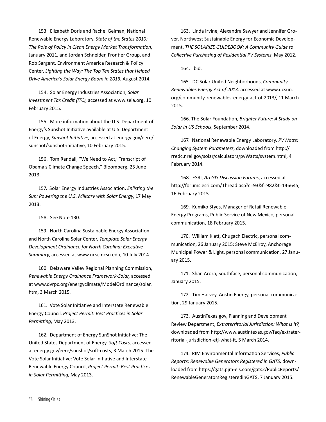153. Elizabeth Doris and Rachel Gelman, National Renewable Energy Laboratory, *State of the States 2010: The Role of Policy in Clean Energy Market Transformation*, January 2011, and Jordan Schneider, Frontier Group, and Rob Sargent, Environment America Research & Policy Center, *Lighting the Way: The Top Ten States that Helped Drive America's Solar Energy Boom in 2013*, August 2014.

154. Solar Energy Industries Association, *Solar Investment Tax Credit (ITC)*, accessed at www.seia.org, 10 February 2015.

155. More information about the U.S. Department of Energy's Sunshot Initiative available at U.S. Department of Energy, *Sunshot Initiative*, accessed at energy.gov/eere/ sunshot/sunshot-initiative, 10 February 2015.

156. Tom Randall, "We Need to Act,' Transcript of Obama's Climate Change Speech," Bloomberg, 25 June 2013.

157. Solar Energy Industries Association, *Enlisting the Sun: Powering the U.S. Military with Solar Energy*, 17 May 2013.

158. See Note 130.

159. North Carolina Sustainable Energy Association and North Carolina Solar Center, *Template Solar Energy Development Ordinance for North Carolina: Executive Summary*, accessed at www.ncsc.ncsu.edu, 10 July 2014.

160. Delaware Valley Regional Planning Commission, *Renewable Energy Ordinance Framework-Solar,* accessed at www.dvrpc.org/energyclimate/ModelOrdinance/solar. htm, 3 March 2015.

161. Vote Solar Initiative and Interstate Renewable Energy Council, *Project Permit: Best Practices in Solar Permitting*, May 2013.

162. Department of Energy SunShot Initiative: The United States Department of Energy, *Soft Costs,* accessed at energy.gov/eere/sunshot/soft-costs, 3 March 2015. The Vote Solar Initiative: Vote Solar Initiative and Interstate Renewable Energy Council, *Project Permit: Best Practices in Solar Permitting*, May 2013.

163. Linda Irvine, Alexandra Sawyer and Jennifer Grover, Northwest Sustainable Energy for Economic Development, *THE SOLARIZE GUIDEBOOK: A Community Guide to Collective Purchasing of Residential PV Systems*, May 2012.

164. Ibid.

165. DC Solar United Neighborhoods, *Community Renewables Energy Act of 2013,* accessed at www.dcsun. org/community-renewables-energy-act-of-2013/, 11 March 2015.

166. The Solar Foundation, *Brighter Future: A Study on Solar in US Schools*, September 2014.

167. National Renewable Energy Laboratory, *PVWatts: Changing System Parameters*, downloaded from http:// rredc.nrel.gov/solar/calculators/pvWatts/system.html, 4 February 2014.

168. ESRI, *ArcGIS Discussion Forums*, accessed at http://forums.esri.com/Thread.asp?c=93&f=982&t=146645, 16 February 2015.

169. Kumiko Styes, Manager of Retail Renewable Energy Programs, Public Service of New Mexico, personal communication, 18 February 2015.

170. William Klatt, Chugach Electric, personal communication, 26 January 2015; Steve McElroy, Anchorage Municipal Power & Light, personal communication, 27 January 2015.

171. Shan Arora, Southface, personal communication, January 2015.

172. Tim Harvey, Austin Energy, personal communication, 29 January 2015.

173. AustinTexas.gov, Planning and Development Review Department, *Extraterritorial Jurisdiction: What Is It?*, downloaded from http://www.austintexas.gov/faq/extraterritorial-jurisdiction-etj-what-it, 5 March 2014.

174. PJM Environmental Information Services, *Public Reports: Renewable Generators Registered in GATS,* downloaded from https://gats.pjm-eis.com/gats2/PublicReports/ RenewableGeneratorsRegisteredinGATS, 7 January 2015.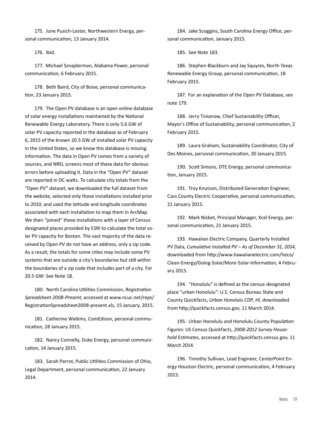175. June Pusich-Lester, Northwestern Energy, personal communication, 13 January 2014.

176. Ibid.

177. Michael Sznajderman, Alabama Power, personal communication, 6 February 2015.

178. Beth Baird, City of Boise, personal communication, 23 January 2015.

179. The Open PV database is an open online database of solar energy installations maintained by the National Renewable Energy Laboratory. There is only 5.6 GW of solar PV capacity reported in the database as of February 6, 2015 of the known 20.5 GW of installed solar PV capacity in the United States, so we know this database is missing information. The data in Open PV comes from a variety of sources, and NREL screens most of these data for obvious errors before uploading it. Data in the "Open PV" dataset are reported in DC watts. To calculate city totals from the "Open PV" dataset, we downloaded the full dataset from the website, selected only those installations installed prior to 2010, and used the latitude and longitude coordinates associated with each installation to map them in ArcMap. We then "joined" these installations with a layer of Census designated places provided by ESRI to calculate the total solar PV capacity for Boston. The vast majority of the data received by Open PV do not have an address, only a zip code. As a result, the totals for some cities may include some PV systems that are outside a city's boundaries but still within the boundaries of a zip code that includes part of a city. For 20.5 GW: See Note 18.

180. North Carolina Utilities Commission, *Registration Spreadsheet 2008-Present,* accessed at www.ncuc.net/reps/ RegistrationSpreadsheet2008-present.xls, 15 January, 2015.

181. Catherine Watkins, ComEdison, personal communication, 28 January 2015.

182. Nancy Connelly, Duke Energy, personal communication, 14 January 2015.

183. Sarah Parrot, Public Utilities Commission of Ohio, Legal Department, personal communication, 22 January 2014.

184. Jake Scoggins, South Carolina Energy Office, personal communication, January 2015.

185. See Note 183.

186. Stephen Blackburn and Jay Squyres, North Texas Renewable Energy Group, personal communication, 18 February 2015.

187. For an explanation of the Open PV Database, see note 179.

188. Jerry Tinianow, Chief Sustainability Officer, Mayor's Office of Sustainability, personal communication, 2 February 2015.

189. Laura Graham, Sustainability Coordinator, City of Des Moines, personal communication, 30 January 2015.

190. Scott Simons, DTE Energy, personal communication, January 2015.

191. Troy Knutson, Distributed Generation Engineer, Cass County Electric Cooperative, personal communication, 21 January 2015.

192. Mark Nisbet, Principal Manager, Xcel Energy, personal communication, 21 January 2015.

193. Hawaiian Electric Company, Quarterly Installed PV Data, *Cumulative Installed PV – As of December 31, 2014*, downloaded from http://www.hawaiianelectric.com/heco/ Clean-Energy/Going-Solar/More-Solar-Information, 4 February 2015.

194. "Honolulu" is defined as the census-designated place "urban Honolulu": U.S. Census Bureau State and County Quickfacts, *Urban Honolulu CDP, HI*, downloaded from http://quickfacts.census.gov, 11 March 2014.

195. Urban Honolulu and Honolulu County Population Figures: US Census Quickfacts, *2008-2012 Survey Household Estimates*, accessed at http://quickfacts.census.gov, 11 March 2014.

196. Timothy Sullivan, Lead Engineer, CenterPoint Energy Houston Electric, personal communication, 4 February 2015.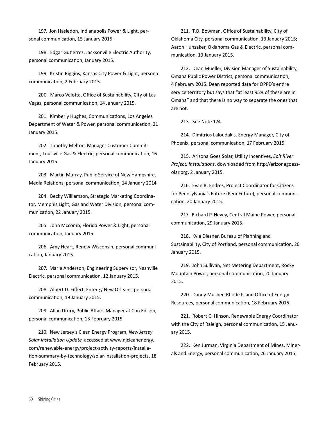197. Jon Hasledon, Indianapolis Power & Light, personal communication, 15 January 2015.

198. Edgar Gutierrez, Jacksonville Electric Authority, personal communication, January 2015.

199. Kristin Riggins, Kansas City Power & Light, persona communication, 2 February 2015.

200. Marco Velotta, Office of Sustainability, City of Las Vegas, personal communication, 14 January 2015.

201. Kimberly Hughes, Communications, Los Angeles Department of Water & Power, personal communication, 21 January 2015.

202. Timothy Melton, Manager Customer Commitment, Louisville Gas & Electric, personal communication, 16 January 2015

203. Martin Murray, Public Service of New Hampshire, Media Relations, personal communication, 14 January 2014.

204. Becky Williamson, Strategic Marketing Coordinator, Memphis Light, Gas and Water Division, personal communication, 22 January 2015.

205. John Mccomb, Florida Power & Light, personal communication, January 2015.

206. Amy Heart, Renew Wisconsin, personal communication, January 2015.

207. Marie Anderson, Engineering Supervisor, Nashville Electric, personal communication, 12 January 2015.

208. Albert D. Eiffert, Entergy New Orleans, personal communication, 19 January 2015.

209. Allan Drury, Public Affairs Manager at Con Edison, personal communication, 13 February 2015.

210. New Jersey's Clean Energy Program, *New Jersey Solar Installation Update,* accessed at www.njcleanenergy. com/renewable-energy/project-activity-reports/installation-summary-by-technology/solar-installation-projects, 18 February 2015.

211. T.O. Bowman, Office of Sustainability, City of Oklahoma City, personal communication, 13 January 2015; Aaron Hunsaker, Oklahoma Gas & Electric, personal communication, 13 January 2015.

212. Dean Mueller, Division Manager of Sustainability, Omaha Public Power District, personal communication, 4 February 2015. Dean reported data for OPPD's entire service territory but says that "at least 95% of these are in Omaha" and that there is no way to separate the ones that are not.

213. See Note 174.

214. Dimitrios Laloudakis, Energy Manager, City of Phoenix, personal communication, 17 February 2015.

215. Arizona Goes Solar, Utility Incentives, *Salt River Project: Installations*, downloaded from http://arizonagoessolar.org, 2 January 2015.

216. Evan R. Endres, Project Coordinator for Citizens for Pennsylvania's Future (PennFuture), personal communication, 20 January 2015.

217. Richard P. Hevey, Central Maine Power, personal communication, 29 January 2015.

218. Kyle Diesner, Bureau of Planning and Sustainability, City of Portland, personal communication, 26 January 2015.

219. John Sullivan, Net Metering Department, Rocky Mountain Power, personal communication, 20 January 2015.

220. Danny Musher, Rhode Island Office of Energy Resources, personal communication, 18 February 2015.

221. Robert C. Hinson, Renewable Energy Coordinator with the City of Raleigh, personal communication, 15 January 2015.

222. Ken Jurman, Virginia Department of Mines, Minerals and Energy, personal communication, 26 January 2015.